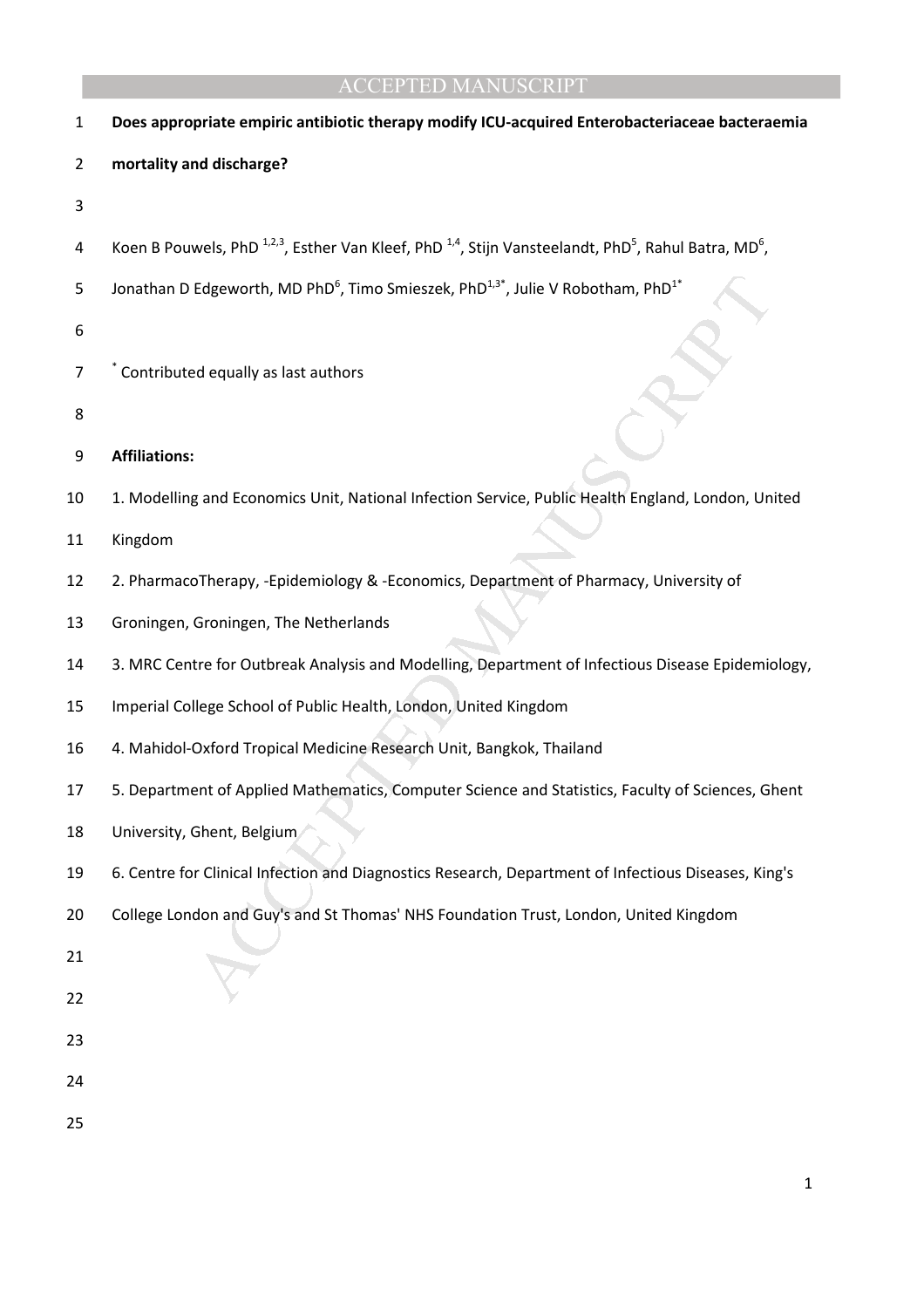| $\mathbf{1}$ | Does appropriate empiric antibiotic therapy modify ICU-acquired Enterobacteriaceae bacteraemia                                                      |  |
|--------------|-----------------------------------------------------------------------------------------------------------------------------------------------------|--|
| 2            | mortality and discharge?                                                                                                                            |  |
| 3            |                                                                                                                                                     |  |
| 4            | Koen B Pouwels, PhD <sup>1,2,3</sup> , Esther Van Kleef, PhD <sup>1,4</sup> , Stijn Vansteelandt, PhD <sup>5</sup> , Rahul Batra, MD <sup>6</sup> , |  |
| 5            | Jonathan D Edgeworth, MD PhD <sup>6</sup> , Timo Smieszek, PhD <sup>1,3*</sup> , Julie V Robotham, PhD <sup>1*</sup>                                |  |
| 6            |                                                                                                                                                     |  |
| 7            | Contributed equally as last authors                                                                                                                 |  |
| 8            |                                                                                                                                                     |  |
| 9            | <b>Affiliations:</b>                                                                                                                                |  |
| 10           | 1. Modelling and Economics Unit, National Infection Service, Public Health England, London, United                                                  |  |
| 11           | Kingdom                                                                                                                                             |  |
| 12           | 2. PharmacoTherapy, -Epidemiology & -Economics, Department of Pharmacy, University of                                                               |  |
| 13           | Groningen, Groningen, The Netherlands                                                                                                               |  |
| 14           | 3. MRC Centre for Outbreak Analysis and Modelling, Department of Infectious Disease Epidemiology,                                                   |  |
| 15           | Imperial College School of Public Health, London, United Kingdom                                                                                    |  |
| 16           | 4. Mahidol-Oxford Tropical Medicine Research Unit, Bangkok, Thailand                                                                                |  |
| 17           | 5. Department of Applied Mathematics, Computer Science and Statistics, Faculty of Sciences, Ghent                                                   |  |
| 18           | University, Ghent, Belgium                                                                                                                          |  |
| 19           | 6. Centre for Clinical Infection and Diagnostics Research, Department of Infectious Diseases, King's                                                |  |
| 20           | College London and Guy's and St Thomas' NHS Foundation Trust, London, United Kingdom                                                                |  |
| 21           |                                                                                                                                                     |  |
| 22           |                                                                                                                                                     |  |
| 23           |                                                                                                                                                     |  |
| 24           |                                                                                                                                                     |  |
| 25           |                                                                                                                                                     |  |
|              |                                                                                                                                                     |  |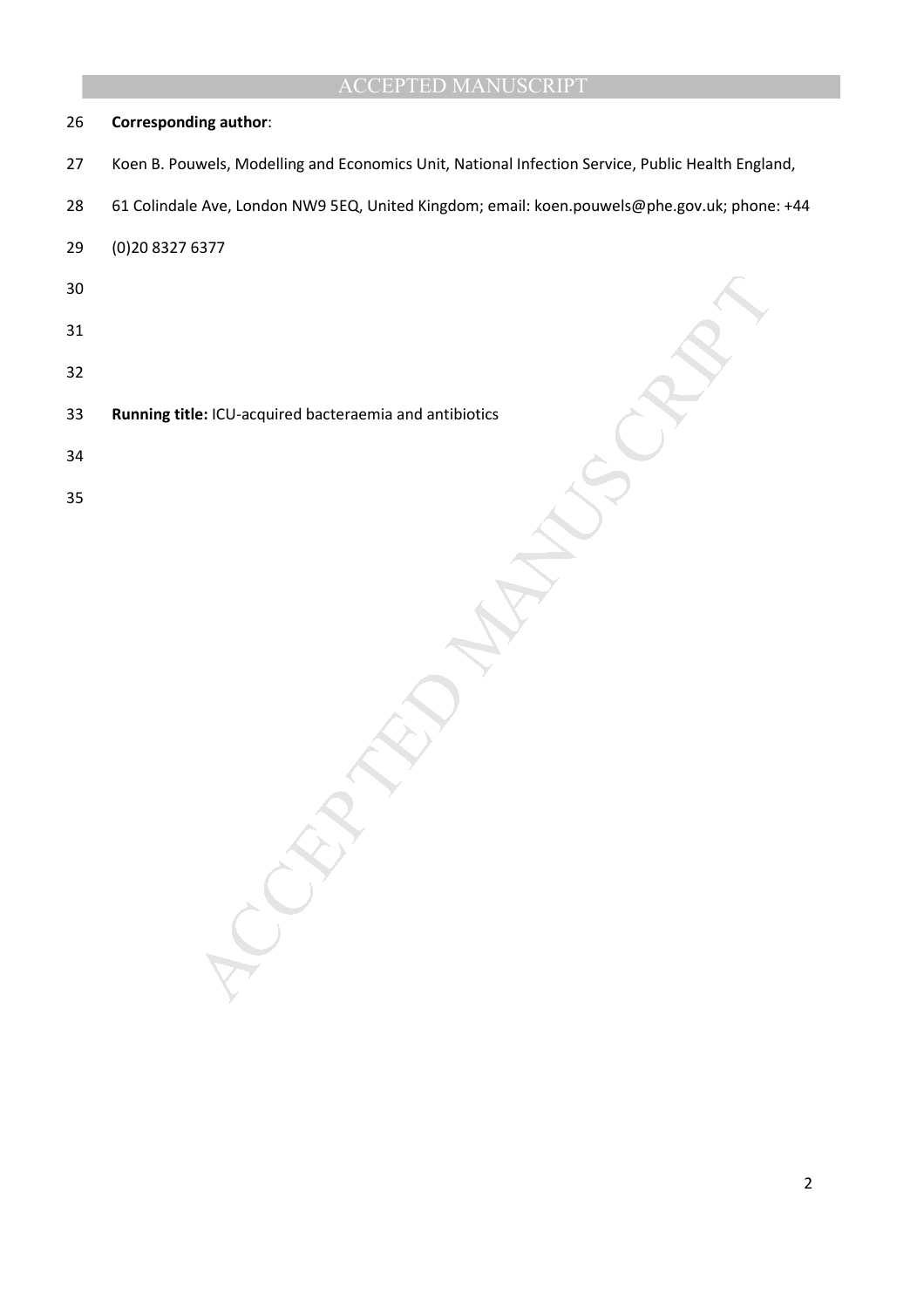#### **Corresponding author**:

- 27 Koen B. Pouwels, Modelling and Economics Unit, National Infection Service, Public Health England,
- 28 61 Colindale Ave, London NW9 5EQ, United Kingdom; email: koen.pouwels@phe.gov.uk; phone: +44

29 (0)20 8327 6377

- 
- 
- 
- NEW YORK CONTROLLER AND ACCEPTED AND ACCEPTED AND ACCEPTED AND ACCEPTED AND ACCEPTED AND ACCEPTED AND ACCEPTED AND **Running title:** ICU-acquired bacteraemia and antibiotics
- 
- 
-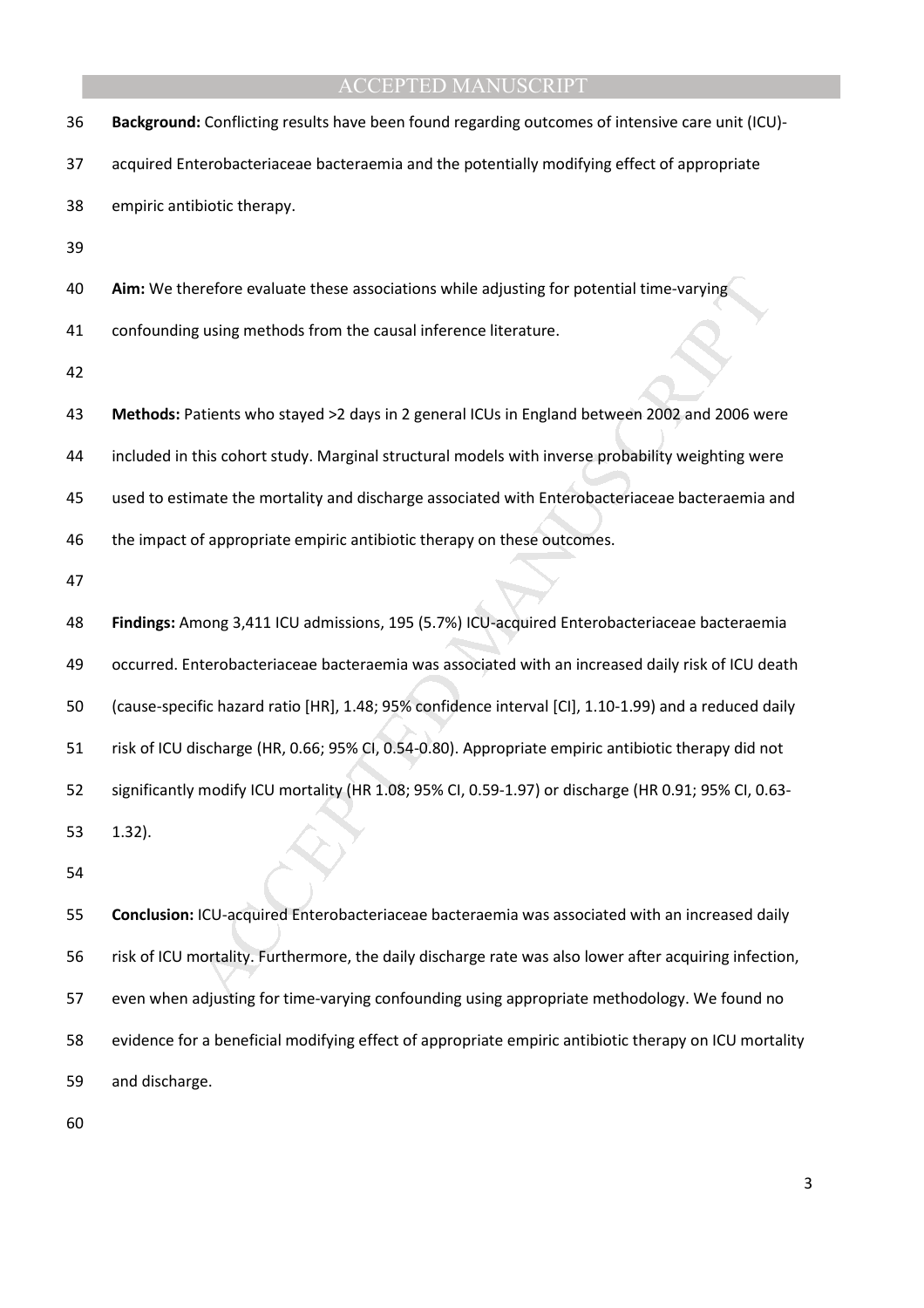| 36 | Background: Conflicting results have been found regarding outcomes of intensive care unit (ICU)-       |
|----|--------------------------------------------------------------------------------------------------------|
| 37 | acquired Enterobacteriaceae bacteraemia and the potentially modifying effect of appropriate            |
| 38 | empiric antibiotic therapy.                                                                            |
| 39 |                                                                                                        |
| 40 | Aim: We therefore evaluate these associations while adjusting for potential time-varying               |
| 41 | confounding using methods from the causal inference literature.                                        |
| 42 |                                                                                                        |
| 43 | Methods: Patients who stayed >2 days in 2 general ICUs in England between 2002 and 2006 were           |
| 44 | included in this cohort study. Marginal structural models with inverse probability weighting were      |
| 45 | used to estimate the mortality and discharge associated with Enterobacteriaceae bacteraemia and        |
| 46 | the impact of appropriate empiric antibiotic therapy on these outcomes.                                |
| 47 |                                                                                                        |
|    |                                                                                                        |
| 48 | Findings: Among 3,411 ICU admissions, 195 (5.7%) ICU-acquired Enterobacteriaceae bacteraemia           |
| 49 | occurred. Enterobacteriaceae bacteraemia was associated with an increased daily risk of ICU death      |
| 50 | (cause-specific hazard ratio [HR], 1.48; 95% confidence interval [CI], 1.10-1.99) and a reduced daily  |
| 51 | risk of ICU discharge (HR, 0.66; 95% CI, 0.54-0.80). Appropriate empiric antibiotic therapy did not    |
| 52 | significantly modify ICU mortality (HR 1.08; 95% CI, 0.59-1.97) or discharge (HR 0.91; 95% CI, 0.63-   |
| 53 | $1.32$ ).                                                                                              |
| 54 |                                                                                                        |
| 55 | Conclusion: ICU-acquired Enterobacteriaceae bacteraemia was associated with an increased daily         |
| 56 | risk of ICU mortality. Furthermore, the daily discharge rate was also lower after acquiring infection, |

58 evidence for a beneficial modifying effect of appropriate empiric antibiotic therapy on ICU mortality

59 and discharge.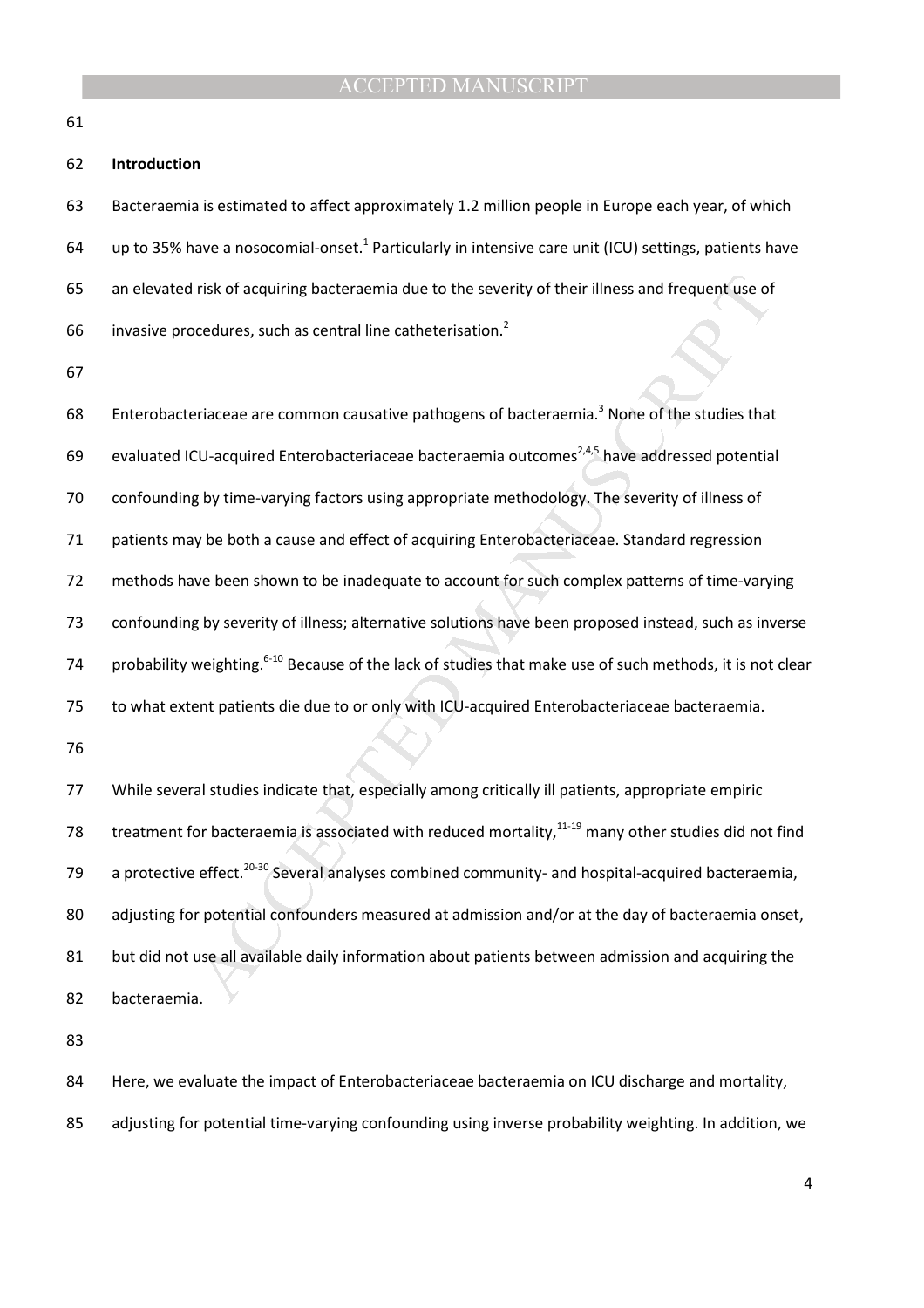61

#### 62 **Introduction**

63 Bacteraemia is estimated to affect approximately 1.2 million people in Europe each year, of which 64 up to 35% have a nosocomial-onset.<sup>1</sup> Particularly in intensive care unit (ICU) settings, patients have 65 an elevated risk of acquiring bacteraemia due to the severity of their illness and frequent use of invasive procedures, such as central line catheterisation.<sup>2</sup> 66

67

*I* risk of acquiring bacteraemia due to the severity of their illness and frequent use of<br>ocedures, such as central line catheterisation.<sup>2</sup><br>relaceae are common causative pathogens of bacteraemia.<sup>3</sup> None of the studies 68 Enterobacteriaceae are common causative pathogens of bacteraemia.<sup>3</sup> None of the studies that 69 evaluated ICU-acquired Enterobacteriaceae bacteraemia outcomes<sup>2,4,5</sup> have addressed potential 70 confounding by time-varying factors using appropriate methodology. The severity of illness of 71 patients may be both a cause and effect of acquiring Enterobacteriaceae. Standard regression 72 methods have been shown to be inadequate to account for such complex patterns of time-varying 73 confounding by severity of illness; alternative solutions have been proposed instead, such as inverse 74 probability weighting.<sup>6-10</sup> Because of the lack of studies that make use of such methods, it is not clear 75 to what extent patients die due to or only with ICU-acquired Enterobacteriaceae bacteraemia.

76

77 While several studies indicate that, especially among critically ill patients, appropriate empiric 78 treatment for bacteraemia is associated with reduced mortality, $11-19$  many other studies did not find 79 a protective effect.<sup>20-30</sup> Several analyses combined community- and hospital-acquired bacteraemia, 80 adjusting for potential confounders measured at admission and/or at the day of bacteraemia onset, 81 but did not use all available daily information about patients between admission and acquiring the 82 bacteraemia.

83

84 Here, we evaluate the impact of Enterobacteriaceae bacteraemia on ICU discharge and mortality,

85 adjusting for potential time-varying confounding using inverse probability weighting. In addition, we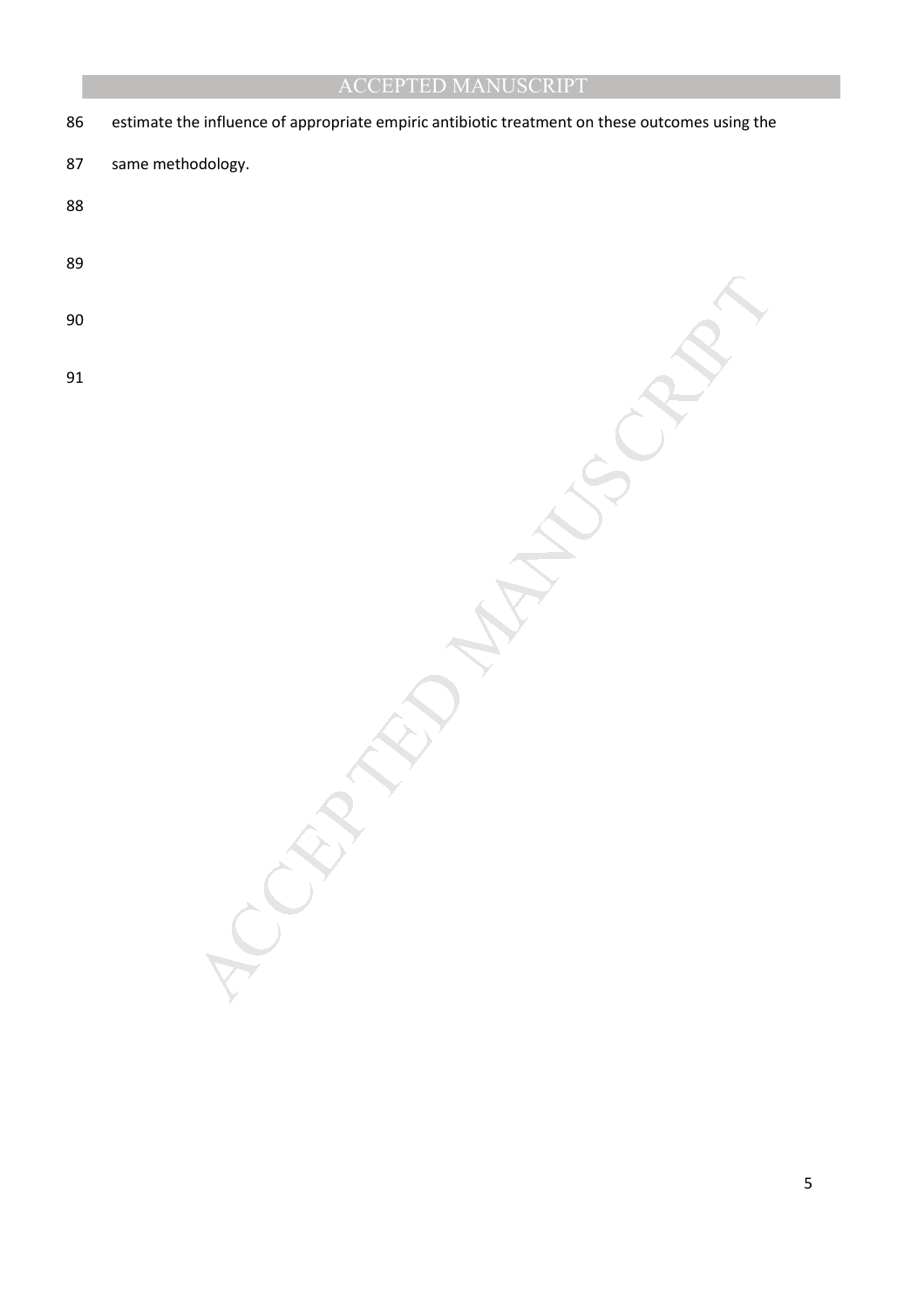MANUSCRIPT 86 estimate the influence of appropriate empiric antibiotic treatment on these outcomes using the 87 same methodology. 88 89 90 91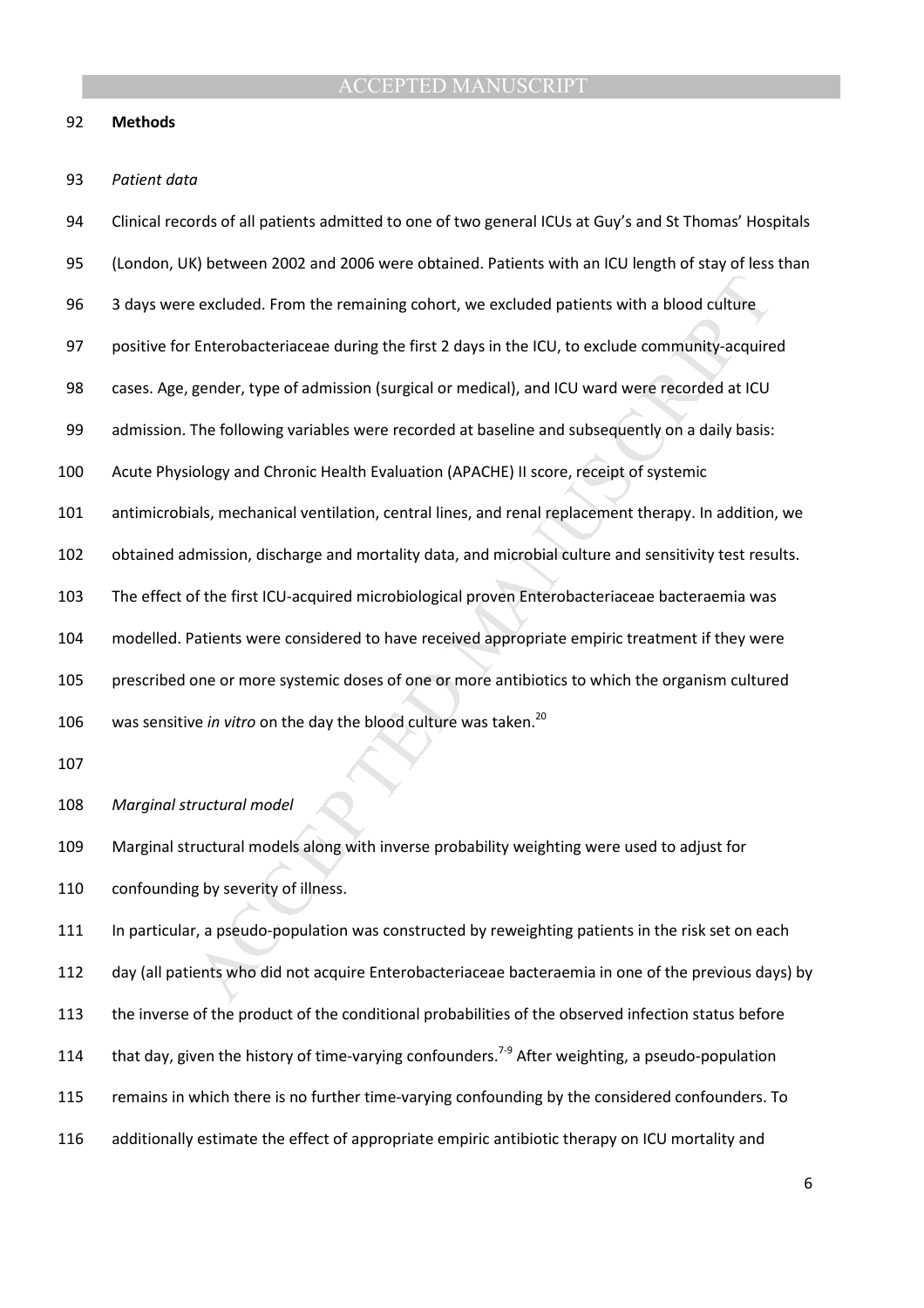#### 92 **Methods**

#### 93 *Patient data*

excluded. From the remaining cohort, we excluded patients with a blood culture<br>Enterobacteriaceae during the first 2 days in the ICU, to exclude community-acquire<br>gender, type of admission (surgical or medical), and ICU wa 94 Clinical records of all patients admitted to one of two general ICUs at Guy's and St Thomas' Hospitals 95 (London, UK) between 2002 and 2006 were obtained. Patients with an ICU length of stay of less than 96 3 days were excluded. From the remaining cohort, we excluded patients with a blood culture 97 positive for Enterobacteriaceae during the first 2 days in the ICU, to exclude community-acquired 98 cases. Age, gender, type of admission (surgical or medical), and ICU ward were recorded at ICU 99 admission. The following variables were recorded at baseline and subsequently on a daily basis: 100 Acute Physiology and Chronic Health Evaluation (APACHE) II score, receipt of systemic 101 antimicrobials, mechanical ventilation, central lines, and renal replacement therapy. In addition, we 102 obtained admission, discharge and mortality data, and microbial culture and sensitivity test results. 103 The effect of the first ICU-acquired microbiological proven Enterobacteriaceae bacteraemia was 104 modelled. Patients were considered to have received appropriate empiric treatment if they were 105 prescribed one or more systemic doses of one or more antibiotics to which the organism cultured 106 was sensitive *in vitro* on the day the blood culture was taken.<sup>20</sup> 107 108 *Marginal structural model* 

109 Marginal structural models along with inverse probability weighting were used to adjust for 110 confounding by severity of illness.

111 In particular, a pseudo-population was constructed by reweighting patients in the risk set on each 112 day (all patients who did not acquire Enterobacteriaceae bacteraemia in one of the previous days) by 113 the inverse of the product of the conditional probabilities of the observed infection status before 114 that day, given the history of time-varying confounders.<sup>7-9</sup> After weighting, a pseudo-population 115 remains in which there is no further time-varying confounding by the considered confounders. To 116 additionally estimate the effect of appropriate empiric antibiotic therapy on ICU mortality and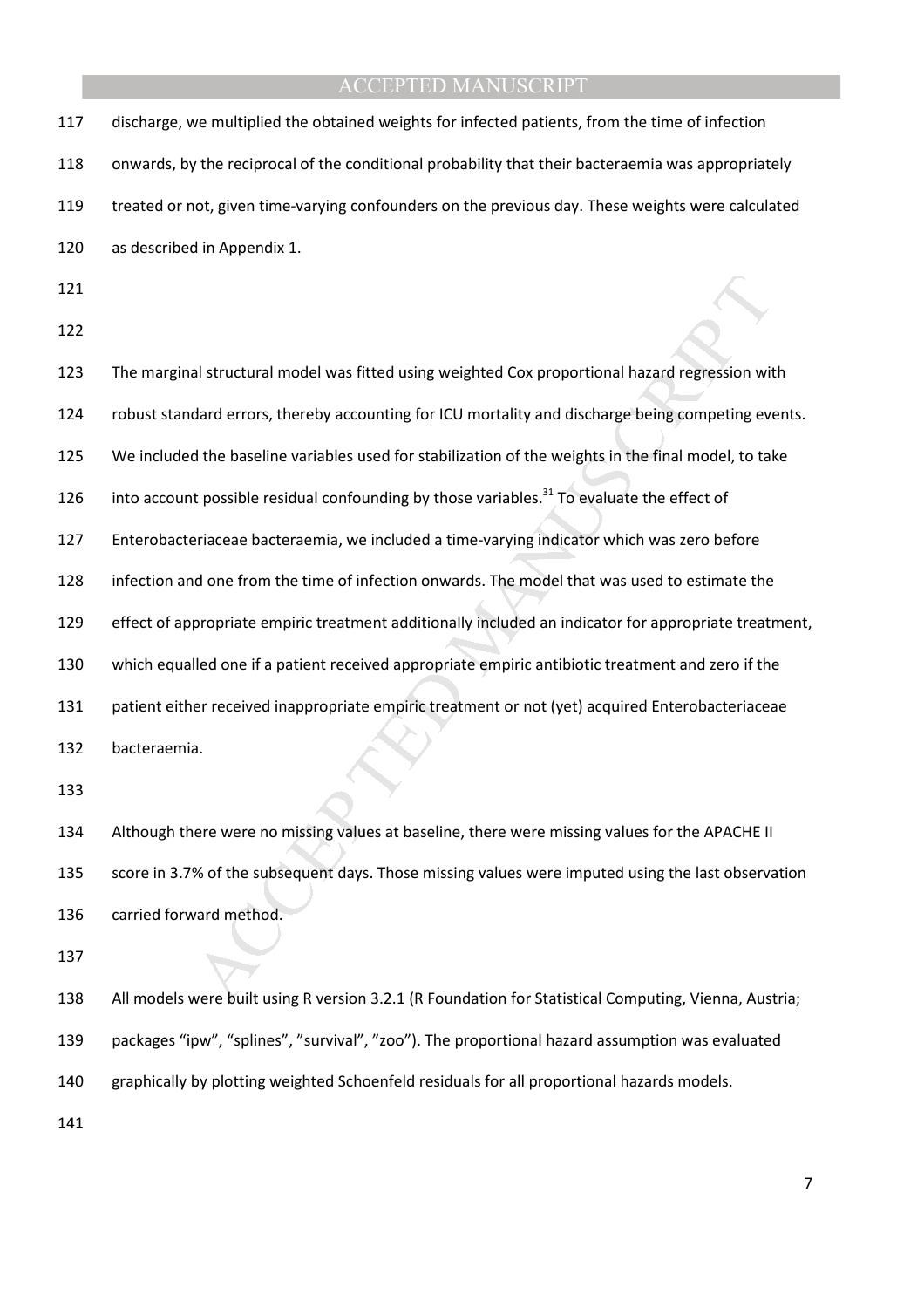| 117 | discharge, we multiplied the obtained weights for infected patients, from the time of infection        |
|-----|--------------------------------------------------------------------------------------------------------|
| 118 | onwards, by the reciprocal of the conditional probability that their bacteraemia was appropriately     |
| 119 | treated or not, given time-varying confounders on the previous day. These weights were calculated      |
| 120 | as described in Appendix 1.                                                                            |
| 121 |                                                                                                        |
| 122 |                                                                                                        |
| 123 | The marginal structural model was fitted using weighted Cox proportional hazard regression with        |
| 124 | robust standard errors, thereby accounting for ICU mortality and discharge being competing events.     |
| 125 | We included the baseline variables used for stabilization of the weights in the final model, to take   |
| 126 | into account possible residual confounding by those variables. <sup>31</sup> To evaluate the effect of |
| 127 | Enterobacteriaceae bacteraemia, we included a time-varying indicator which was zero before             |
| 128 | infection and one from the time of infection onwards. The model that was used to estimate the          |
| 129 | effect of appropriate empiric treatment additionally included an indicator for appropriate treatment,  |
| 130 | which equalled one if a patient received appropriate empiric antibiotic treatment and zero if the      |
| 131 | patient either received inappropriate empiric treatment or not (yet) acquired Enterobacteriaceae       |
| 132 | bacteraemia.                                                                                           |
| 133 |                                                                                                        |
| 134 | Although there were no missing values at baseline, there were missing values for the APACHE II         |
| 135 | score in 3.7% of the subsequent days. Those missing values were imputed using the last observation     |
| 136 | carried forward method.                                                                                |
| 137 |                                                                                                        |
| 138 | All models were built using R version 3.2.1 (R Foundation for Statistical Computing, Vienna, Austria;  |

- 139 packages "ipw", "splines", "survival", "zoo"). The proportional hazard assumption was evaluated
- 140 graphically by plotting weighted Schoenfeld residuals for all proportional hazards models.
- 141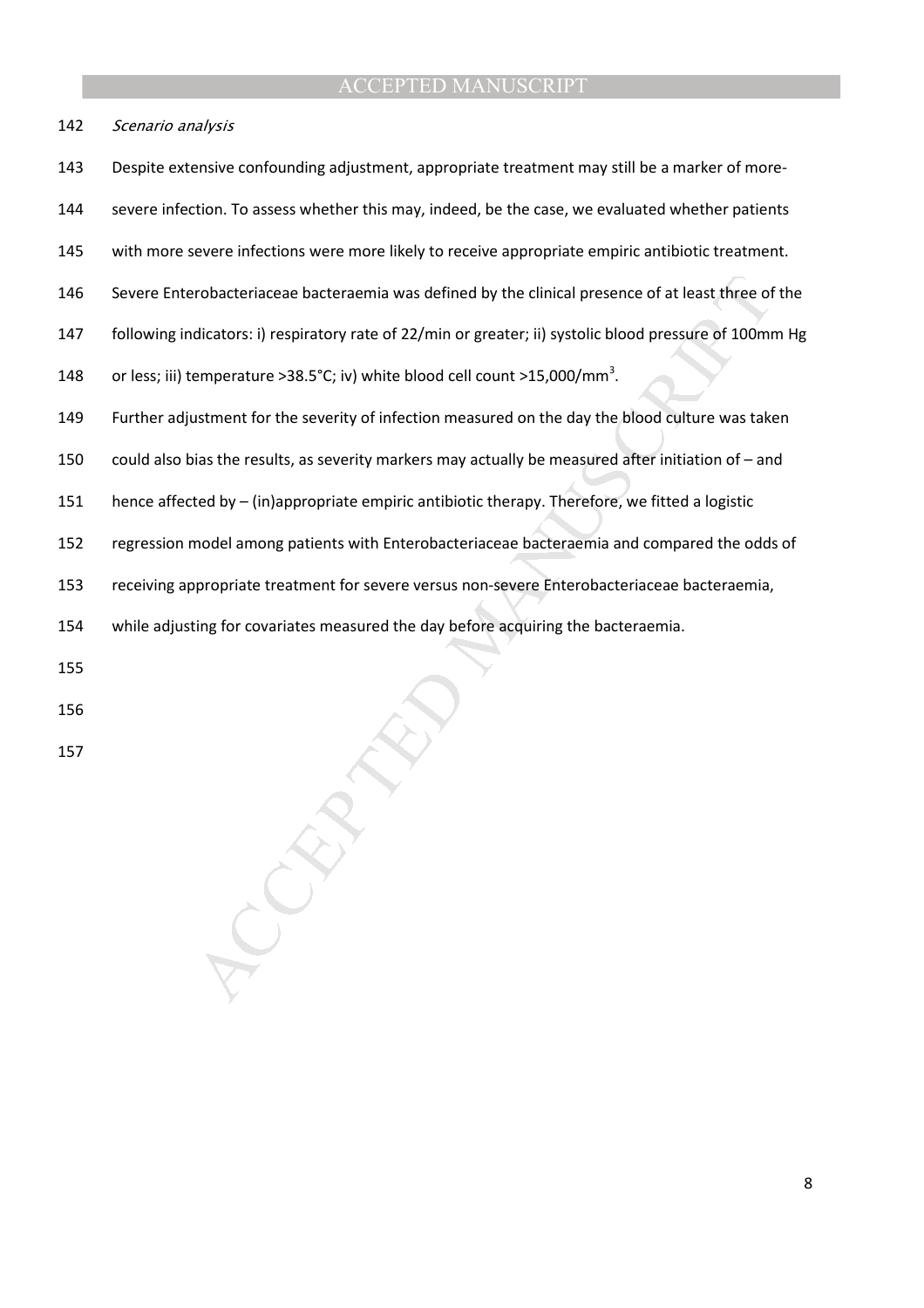142 Scenario analysis

143 Despite extensive confounding adjustment, appropriate treatment may still be a marker of more-

144 severe infection. To assess whether this may, indeed, be the case, we evaluated whether patients

- 145 with more severe infections were more likely to receive appropriate empiric antibiotic treatment.
- 146 Severe Enterobacteriaceae bacteraemia was defined by the clinical presence of at least three of the
- 147 following indicators: i) respiratory rate of 22/min or greater; ii) systolic blood pressure of 100mm Hg

148 or less; iii) temperature >38.5°C; iv) white blood cell count >15,000/mm<sup>3</sup>.

- robacteriaceae bacteraemia was defined by the clinical presence of at least three of<br>dicators: i) respiratory rate of 22/min or greater; ii) systolic blood pressure of 100mr<br>emperature >38.5°C; iv) white blood cell count > 149 Further adjustment for the severity of infection measured on the day the blood culture was taken
- 150 could also bias the results, as severity markers may actually be measured after initiation of and
- 151 hence affected by (in)appropriate empiric antibiotic therapy. Therefore, we fitted a logistic
- 152 regression model among patients with Enterobacteriaceae bacteraemia and compared the odds of
- 153 receiving appropriate treatment for severe versus non-severe Enterobacteriaceae bacteraemia,

154 while adjusting for covariates measured the day before acquiring the bacteraemia.

- 155
- 156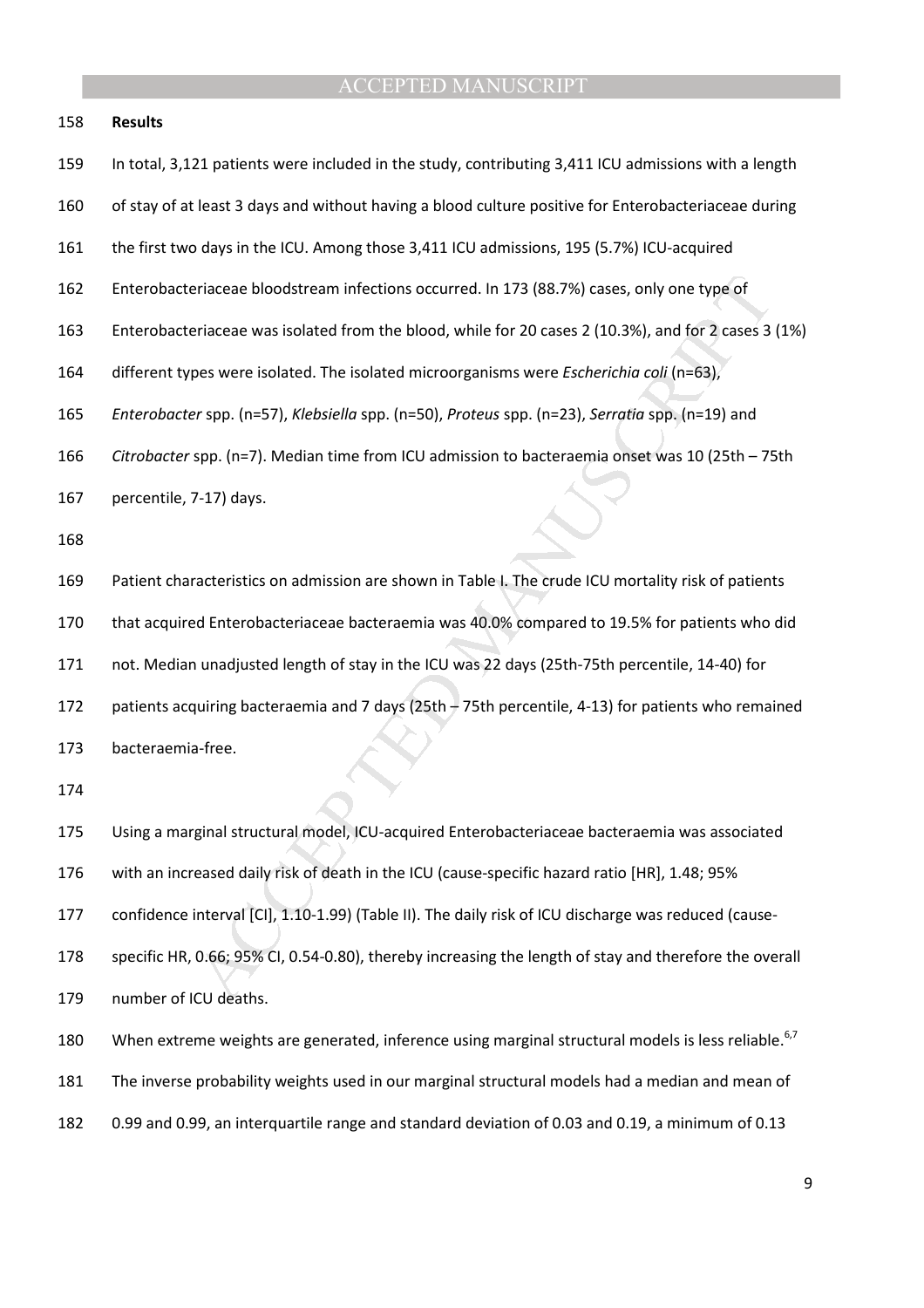#### 158 **Results**

159 In total, 3,121 patients were included in the study, contributing 3,411 ICU admissions with a length

- 160 of stay of at least 3 days and without having a blood culture positive for Enterobacteriaceae during
- 161 the first two days in the ICU. Among those 3,411 ICU admissions, 195 (5.7%) ICU-acquired
- 162 Enterobacteriaceae bloodstream infections occurred. In 173 (88.7%) cases, only one type of
- 163 Enterobacteriaceae was isolated from the blood, while for 20 cases 2 (10.3%), and for 2 cases 3 (1%)
- 164 different types were isolated. The isolated microorganisms were *Escherichia coli* (n=63),
- 165 *Enterobacter* spp. (n=57), *Klebsiella* spp. (n=50), *Proteus* spp. (n=23), *Serratia* spp. (n=19) and
- 166 *Citrobacter* spp. (n=7). Median time from ICU admission to bacteraemia onset was 10 (25th 75th
- 167 percentile, 7-17) days.

168

eriaceae bloodstream infections occurred. In 173 (88.7%) cases, only one type of<br>
eriaceae was isolated from the blood, while for 20 cases 2 (10.3%), and for 2 cases 3<br>
pes were isolated. The isolated microorganisms were 169 Patient characteristics on admission are shown in Table I. The crude ICU mortality risk of patients 170 that acquired Enterobacteriaceae bacteraemia was 40.0% compared to 19.5% for patients who did 171 not. Median unadjusted length of stay in the ICU was 22 days (25th-75th percentile, 14-40) for 172 patients acquiring bacteraemia and 7 days (25th – 75th percentile, 4-13) for patients who remained 173 bacteraemia-free.

174

175 Using a marginal structural model, ICU-acquired Enterobacteriaceae bacteraemia was associated 176 with an increased daily risk of death in the ICU (cause-specific hazard ratio [HR], 1.48; 95% 177 confidence interval [CI], 1.10-1.99) (Table II). The daily risk of ICU discharge was reduced (cause-178 specific HR, 0.66; 95% CI, 0.54-0.80), thereby increasing the length of stay and therefore the overall 179 number of ICU deaths. 180 When extreme weights are generated, inference using marginal structural models is less reliable.<sup>6,7</sup>

181 The inverse probability weights used in our marginal structural models had a median and mean of

182 0.99 and 0.99, an interquartile range and standard deviation of 0.03 and 0.19, a minimum of 0.13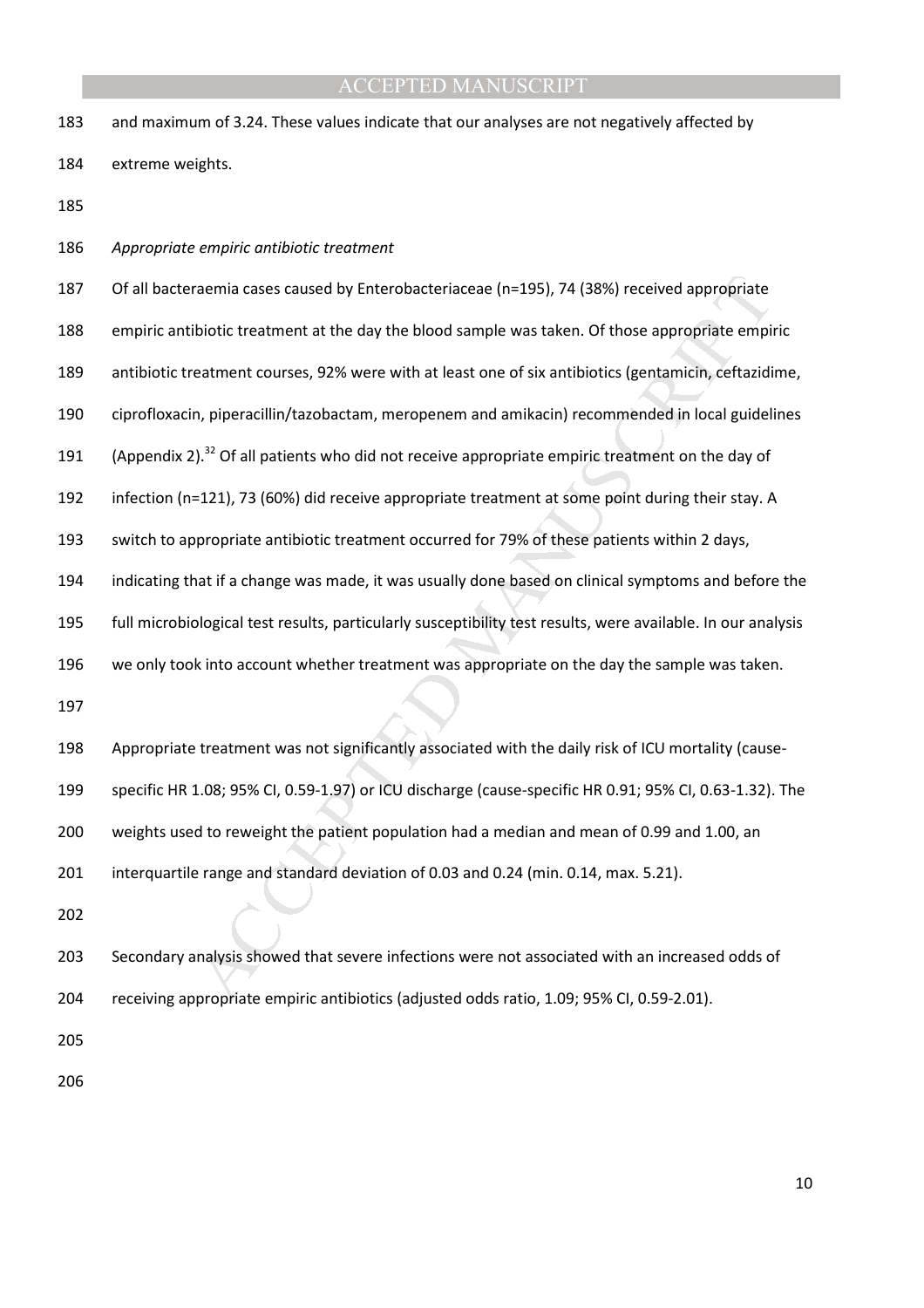| 183 | and maximum of 3.24. These values indicate that our analyses are not negatively affected by                  |
|-----|--------------------------------------------------------------------------------------------------------------|
| 184 | extreme weights.                                                                                             |
| 185 |                                                                                                              |
| 186 | Appropriate empiric antibiotic treatment                                                                     |
| 187 | Of all bacteraemia cases caused by Enterobacteriaceae (n=195), 74 (38%) received appropriate                 |
| 188 | empiric antibiotic treatment at the day the blood sample was taken. Of those appropriate empiric             |
| 189 | antibiotic treatment courses, 92% were with at least one of six antibiotics (gentamicin, ceftazidime,        |
| 190 | ciprofloxacin, piperacillin/tazobactam, meropenem and amikacin) recommended in local guidelines              |
| 191 | (Appendix 2). <sup>32</sup> Of all patients who did not receive appropriate empiric treatment on the day of  |
| 192 | infection (n=121), 73 (60%) did receive appropriate treatment at some point during their stay. A             |
| 193 | switch to appropriate antibiotic treatment occurred for 79% of these patients within 2 days,                 |
| 194 | indicating that if a change was made, it was usually done based on clinical symptoms and before the          |
| 195 | full microbiological test results, particularly susceptibility test results, were available. In our analysis |
| 196 | we only took into account whether treatment was appropriate on the day the sample was taken.                 |
| 197 |                                                                                                              |
| 198 | Appropriate treatment was not significantly associated with the daily risk of ICU mortality (cause-          |
| 199 | specific HR 1.08; 95% CI, 0.59-1.97) or ICU discharge (cause-specific HR 0.91; 95% CI, 0.63-1.32). The       |
| 200 | weights used to reweight the patient population had a median and mean of 0.99 and 1.00, an                   |
| 201 | interquartile range and standard deviation of 0.03 and 0.24 (min. 0.14, max. 5.21).                          |
| 202 |                                                                                                              |
| 203 | Secondary analysis showed that severe infections were not associated with an increased odds of               |
| 204 | receiving appropriate empiric antibiotics (adjusted odds ratio, 1.09; 95% CI, 0.59-2.01).                    |
| 205 |                                                                                                              |
|     |                                                                                                              |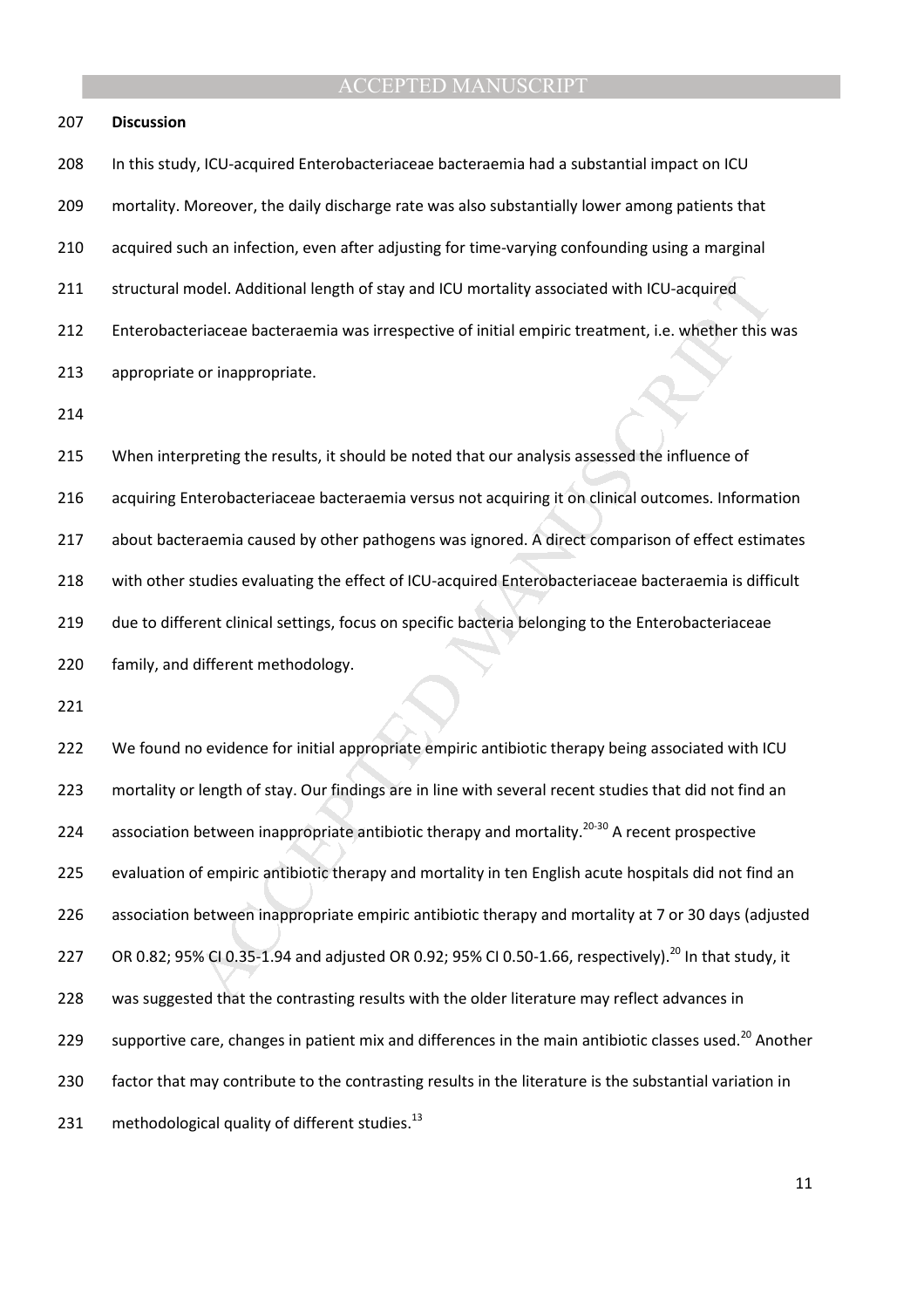#### 207 **Discussion**

nodel. Additional length of stay and ICU mortality associated with ICU-acquired<br>eriaceae bacteraemia was irrespective of initial empiric treatment, i.e. whether this v<br>or inappropriate.<br>preting the results, it should be no 208 In this study, ICU-acquired Enterobacteriaceae bacteraemia had a substantial impact on ICU 209 mortality. Moreover, the daily discharge rate was also substantially lower among patients that 210 acquired such an infection, even after adjusting for time-varying confounding using a marginal 211 structural model. Additional length of stay and ICU mortality associated with ICU-acquired 212 Enterobacteriaceae bacteraemia was irrespective of initial empiric treatment, i.e. whether this was 213 appropriate or inappropriate. 214 215 When interpreting the results, it should be noted that our analysis assessed the influence of 216 acquiring Enterobacteriaceae bacteraemia versus not acquiring it on clinical outcomes. Information 217 about bacteraemia caused by other pathogens was ignored. A direct comparison of effect estimates 218 with other studies evaluating the effect of ICU-acquired Enterobacteriaceae bacteraemia is difficult 219 due to different clinical settings, focus on specific bacteria belonging to the Enterobacteriaceae

220 family, and different methodology.

221

222 We found no evidence for initial appropriate empiric antibiotic therapy being associated with ICU 223 mortality or length of stay. Our findings are in line with several recent studies that did not find an 224 association between inappropriate antibiotic therapy and mortality.<sup>20-30</sup> A recent prospective 225 evaluation of empiric antibiotic therapy and mortality in ten English acute hospitals did not find an 226 association between inappropriate empiric antibiotic therapy and mortality at 7 or 30 days (adjusted 227 OR 0.82; 95% CI 0.35-1.94 and adjusted OR 0.92; 95% CI 0.50-1.66, respectively).<sup>20</sup> In that study, it 228 was suggested that the contrasting results with the older literature may reflect advances in 229 supportive care, changes in patient mix and differences in the main antibiotic classes used.<sup>20</sup> Another 230 factor that may contribute to the contrasting results in the literature is the substantial variation in 231 methodological quality of different studies. $^{13}$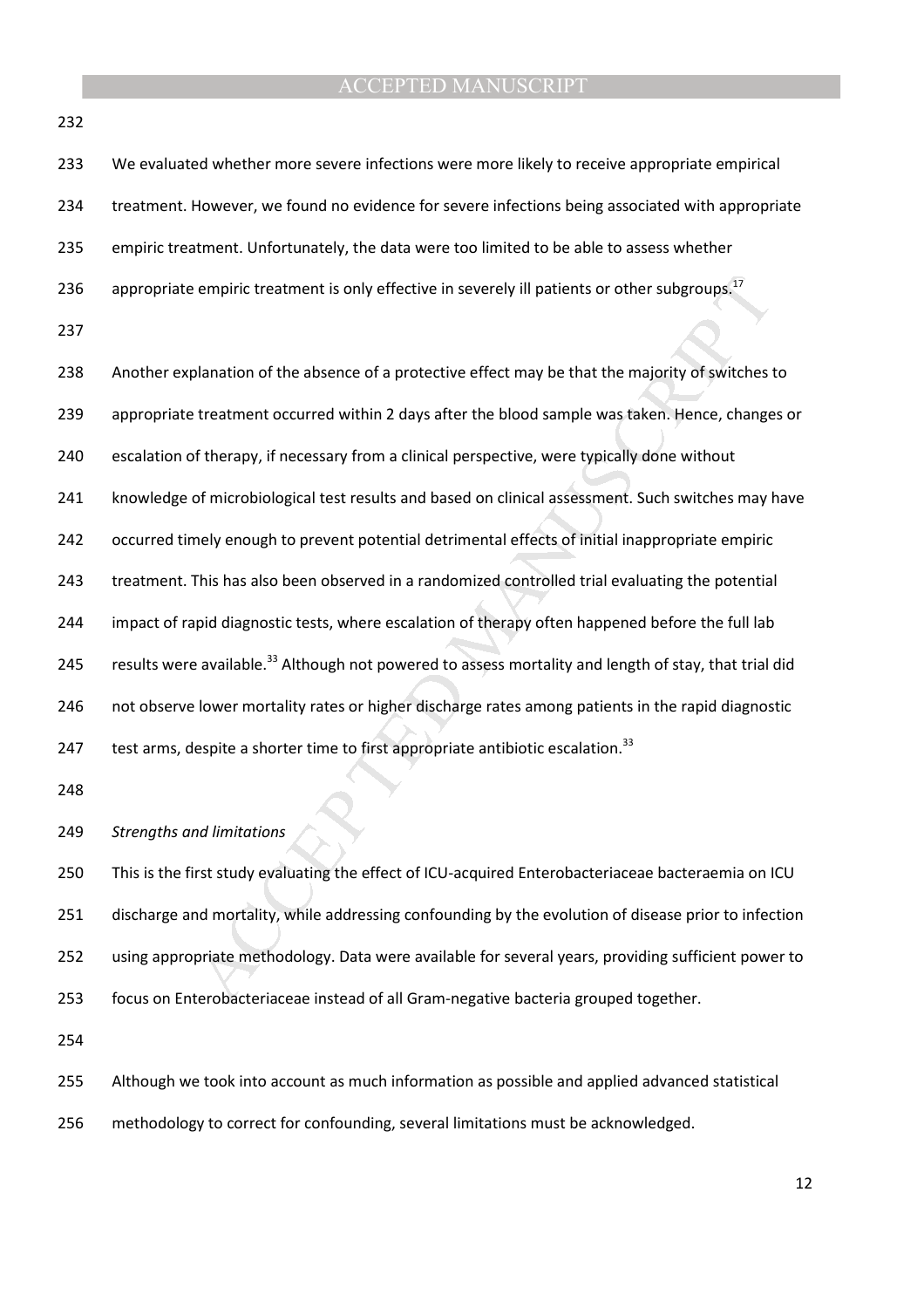| 232 |                                                                                                                   |
|-----|-------------------------------------------------------------------------------------------------------------------|
| 233 | We evaluated whether more severe infections were more likely to receive appropriate empirical                     |
| 234 | treatment. However, we found no evidence for severe infections being associated with appropriate                  |
| 235 | empiric treatment. Unfortunately, the data were too limited to be able to assess whether                          |
| 236 | appropriate empiric treatment is only effective in severely ill patients or other subgroups. <sup>17</sup>        |
| 237 |                                                                                                                   |
| 238 | Another explanation of the absence of a protective effect may be that the majority of switches to                 |
| 239 | appropriate treatment occurred within 2 days after the blood sample was taken. Hence, changes or                  |
| 240 | escalation of therapy, if necessary from a clinical perspective, were typically done without                      |
| 241 | knowledge of microbiological test results and based on clinical assessment. Such switches may have                |
| 242 | occurred timely enough to prevent potential detrimental effects of initial inappropriate empiric                  |
| 243 | treatment. This has also been observed in a randomized controlled trial evaluating the potential                  |
| 244 | impact of rapid diagnostic tests, where escalation of therapy often happened before the full lab                  |
| 245 | results were available. <sup>33</sup> Although not powered to assess mortality and length of stay, that trial did |
| 246 | not observe lower mortality rates or higher discharge rates among patients in the rapid diagnostic                |
| 247 | test arms, despite a shorter time to first appropriate antibiotic escalation. <sup>33</sup>                       |
| 248 |                                                                                                                   |
| 249 | <b>Strengths and limitations</b>                                                                                  |
| 250 | This is the first study evaluating the effect of ICU-acquired Enterobacteriaceae bacteraemia on ICU               |
| 251 | discharge and mortality, while addressing confounding by the evolution of disease prior to infection              |
| 252 | using appropriate methodology. Data were available for several years, providing sufficient power to               |
| 253 | focus on Enterobacteriaceae instead of all Gram-negative bacteria grouped together.                               |
| 254 |                                                                                                                   |
| 255 | Although we took into account as much information as possible and applied advanced statistical                    |

256 methodology to correct for confounding, several limitations must be acknowledged.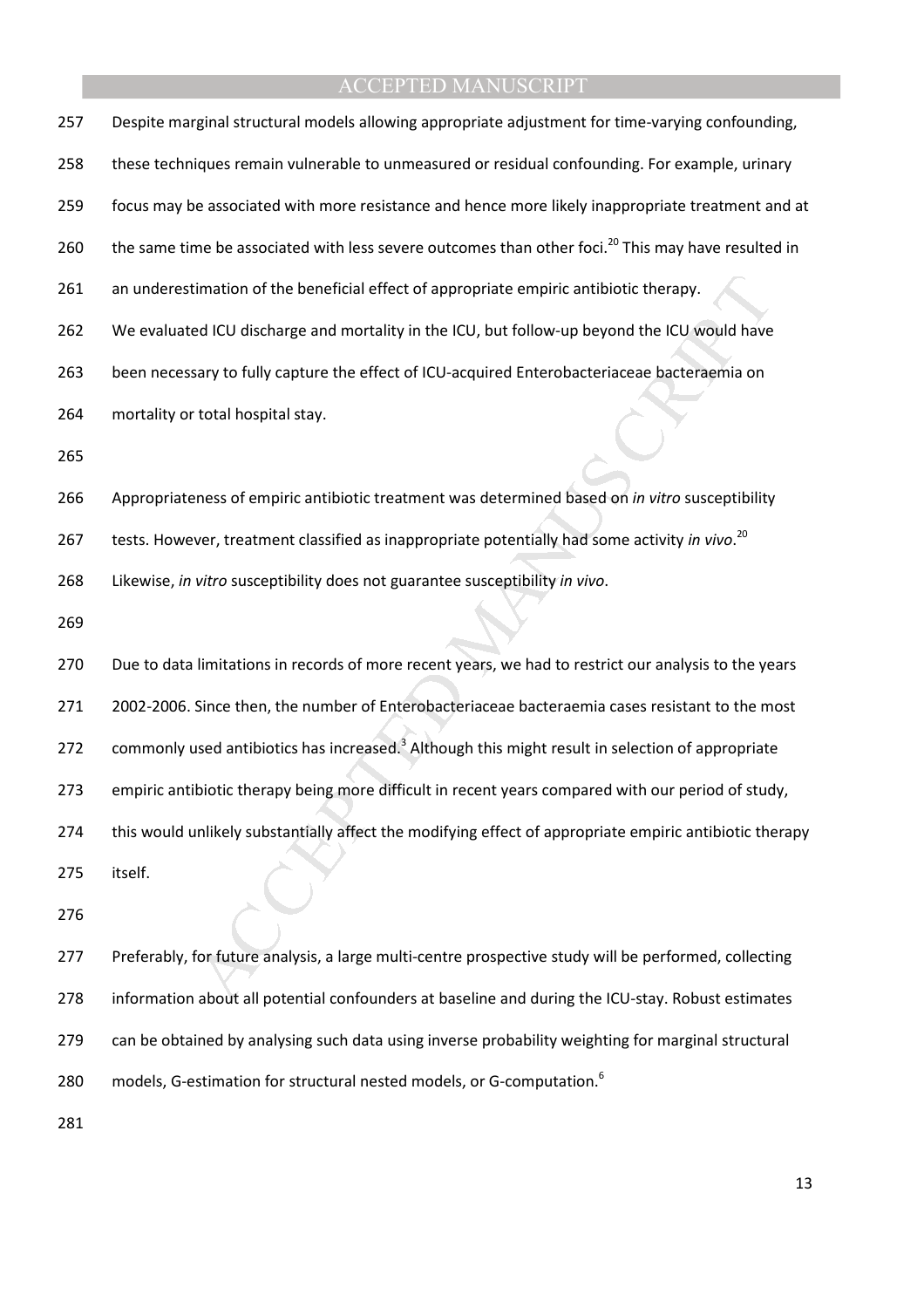| 257 | Despite marginal structural models allowing appropriate adjustment for time-varying confounding,               |
|-----|----------------------------------------------------------------------------------------------------------------|
| 258 | these techniques remain vulnerable to unmeasured or residual confounding. For example, urinary                 |
| 259 | focus may be associated with more resistance and hence more likely inappropriate treatment and at              |
| 260 | the same time be associated with less severe outcomes than other foci. <sup>20</sup> This may have resulted in |
| 261 | an underestimation of the beneficial effect of appropriate empiric antibiotic therapy.                         |
| 262 | We evaluated ICU discharge and mortality in the ICU, but follow-up beyond the ICU would have                   |
| 263 | been necessary to fully capture the effect of ICU-acquired Enterobacteriaceae bacteraemia on                   |
| 264 | mortality or total hospital stay.                                                                              |
| 265 |                                                                                                                |
| 266 | Appropriateness of empiric antibiotic treatment was determined based on in vitro susceptibility                |
| 267 | tests. However, treatment classified as inappropriate potentially had some activity in vivo. <sup>20</sup>     |
| 268 | Likewise, in vitro susceptibility does not guarantee susceptibility in vivo.                                   |
| 269 |                                                                                                                |
| 270 | Due to data limitations in records of more recent years, we had to restrict our analysis to the years          |
| 271 | 2002-2006. Since then, the number of Enterobacteriaceae bacteraemia cases resistant to the most                |
| 272 | commonly used antibiotics has increased. <sup>3</sup> Although this might result in selection of appropriate   |
| 273 | empiric antibiotic therapy being more difficult in recent years compared with our period of study,             |
| 274 | this would unlikely substantially affect the modifying effect of appropriate empiric antibiotic therapy        |
| 275 | itself.                                                                                                        |
| 276 |                                                                                                                |
| 277 | Preferably, for future analysis, a large multi-centre prospective study will be performed, collecting          |
| 278 | information about all potential confounders at baseline and during the ICU-stay. Robust estimates              |
| 279 | can be obtained by analysing such data using inverse probability weighting for marginal structural             |
| 280 | models, G-estimation for structural nested models, or G-computation. <sup>6</sup>                              |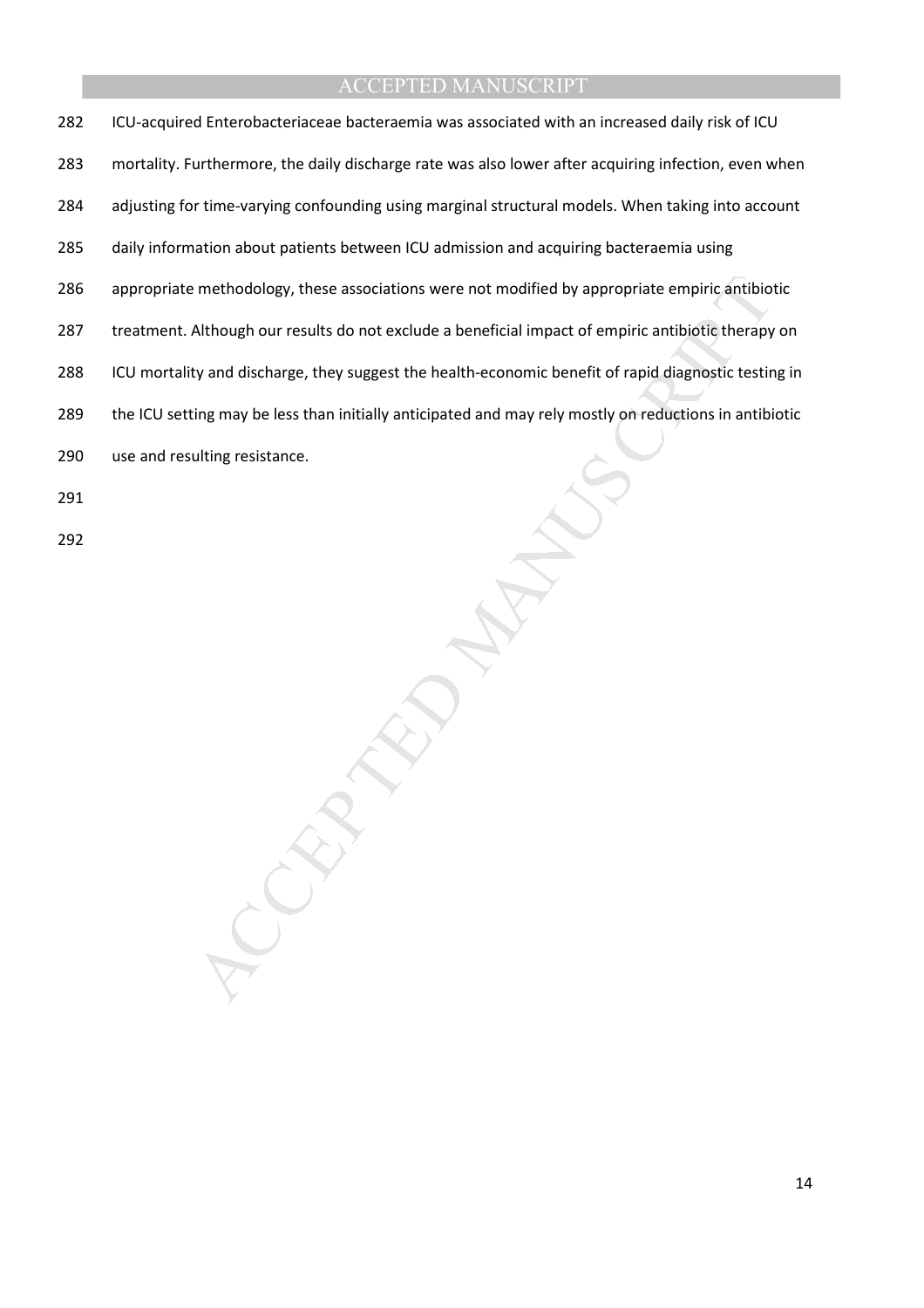methodology, these associations were not modified by appropriate empiric antibiotic therapy<br>Although our results do not exclude a beneficial impact of empiric antibiotic therapy<br>ty and discharge, they suggest the health-ec 282 ICU-acquired Enterobacteriaceae bacteraemia was associated with an increased daily risk of ICU 283 mortality. Furthermore, the daily discharge rate was also lower after acquiring infection, even when 284 adjusting for time-varying confounding using marginal structural models. When taking into account 285 daily information about patients between ICU admission and acquiring bacteraemia using 286 appropriate methodology, these associations were not modified by appropriate empiric antibiotic 287 treatment. Although our results do not exclude a beneficial impact of empiric antibiotic therapy on 288 ICU mortality and discharge, they suggest the health-economic benefit of rapid diagnostic testing in 289 the ICU setting may be less than initially anticipated and may rely mostly on reductions in antibiotic 290 use and resulting resistance. 291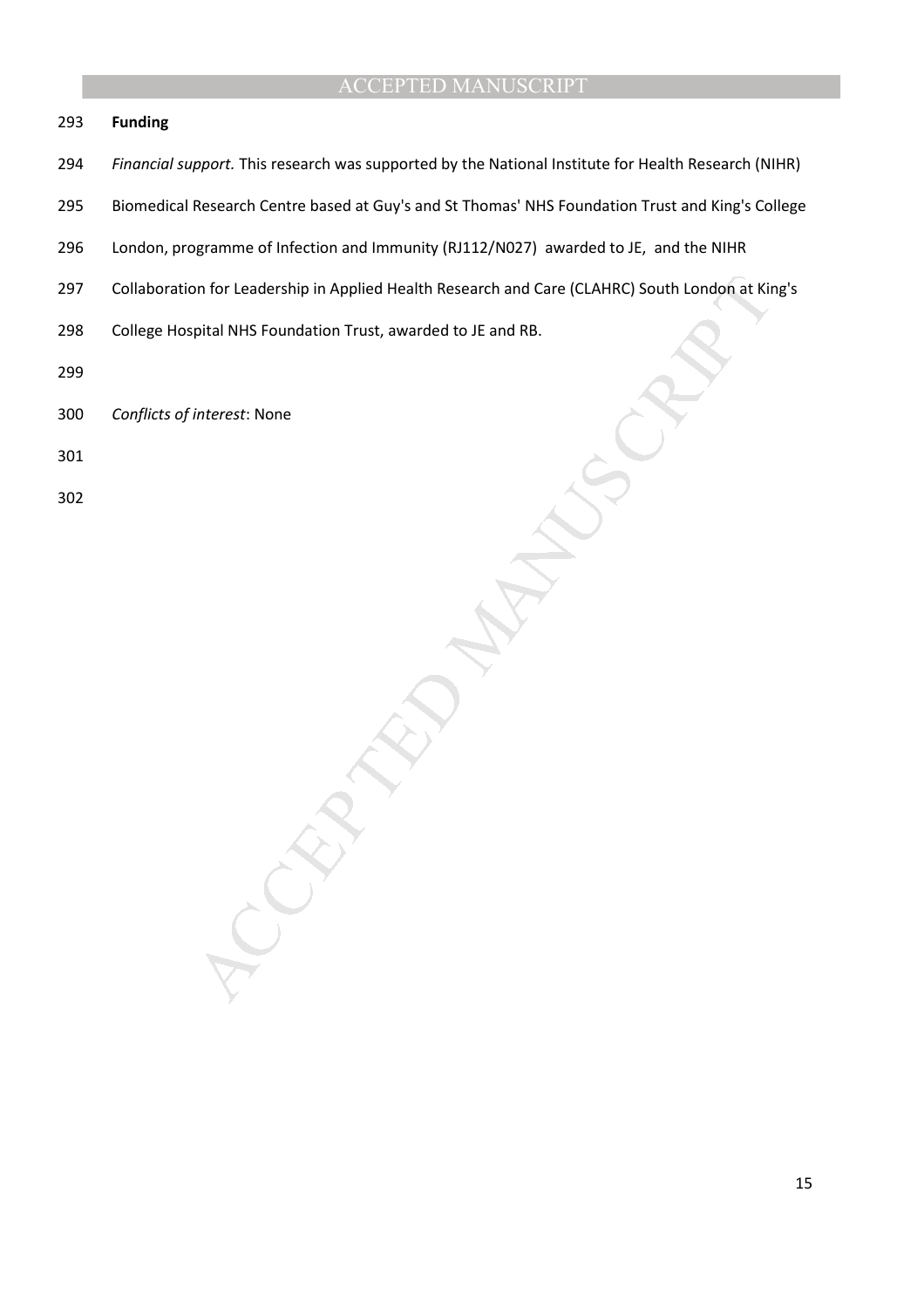#### 293 **Funding**

- 294 *Financial support.* This research was supported by the National Institute for Health Research (NIHR)
- 295 Biomedical Research Centre based at Guy's and St Thomas' NHS Foundation Trust and King's College
- 296 London, programme of Infection and Immunity (RJ112/N027) awarded to JE, and the NIHR
- on for Leadership in Applied Health Research and Care (CLAHRC) South London at Kir<br>pital NHS Foundation Trust, awarded to JE and RB.<br>interest: None 297 Collaboration for Leadership in Applied Health Research and Care (CLAHRC) South London at King's
- 298 College Hospital NHS Foundation Trust, awarded to JE and RB.
- 299
- 300 *Conflicts of interest*: None
- 301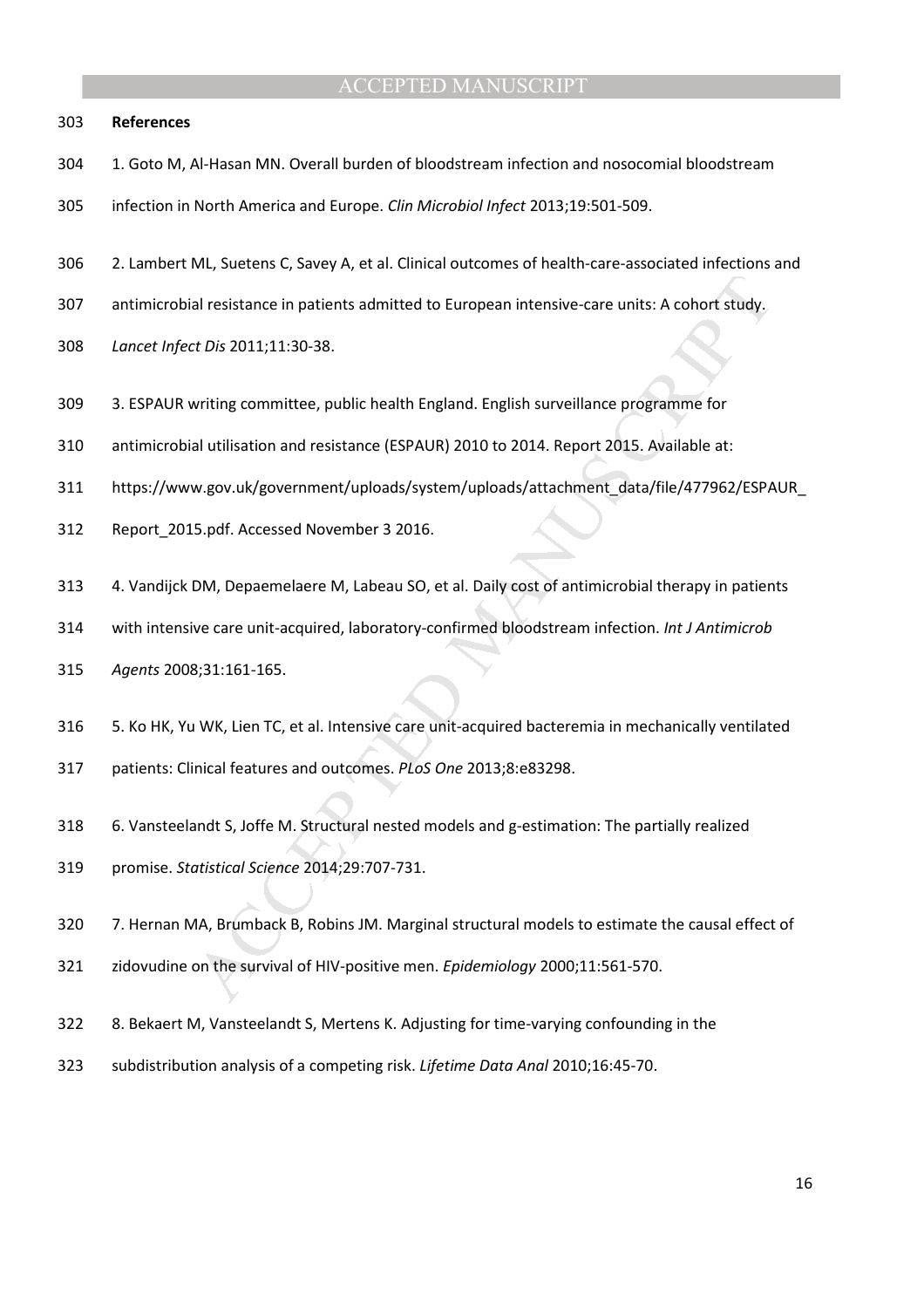#### 303 **References**

- 304 1. Goto M, Al-Hasan MN. Overall burden of bloodstream infection and nosocomial bloodstream
- 305 infection in North America and Europe. *Clin Microbiol Infect* 2013;19:501-509.
- 306 2. Lambert ML, Suetens C, Savey A, et al. Clinical outcomes of health-care-associated infections and
- 307 antimicrobial resistance in patients admitted to European intensive-care units: A cohort study.
- 308 *Lancet Infect Dis* 2011;11:30-38.
- 309 3. ESPAUR writing committee, public health England. English surveillance programme for
- 310 antimicrobial utilisation and resistance (ESPAUR) 2010 to 2014. Report 2015. Available at:
- al resistance in patients admitted to European intensive-care units: A cohort study,<br>
t. *Dis* 2011;11:30-38.<br>
writing committee, public health England. English surveillance programme for<br>
al utilisation and resistance (ES 311 https://www.gov.uk/government/uploads/system/uploads/attachment\_data/file/477962/ESPAUR\_
- 312 Report\_2015.pdf. Accessed November 3 2016.
- 313 4. Vandijck DM, Depaemelaere M, Labeau SO, et al. Daily cost of antimicrobial therapy in patients
- 314 with intensive care unit-acquired, laboratory-confirmed bloodstream infection. *Int J Antimicrob*
- 315 *Agents* 2008;31:161-165.
- 316 5. Ko HK, Yu WK, Lien TC, et al. Intensive care unit-acquired bacteremia in mechanically ventilated
- 317 patients: Clinical features and outcomes. *PLoS One* 2013;8:e83298.
- 318 6. Vansteelandt S, Joffe M. Structural nested models and g-estimation: The partially realized
- 319 promise. *Statistical Science* 2014;29:707-731.
- 320 7. Hernan MA, Brumback B, Robins JM. Marginal structural models to estimate the causal effect of
- 321 zidovudine on the survival of HIV-positive men. *Epidemiology* 2000;11:561-570.
- 322 8. Bekaert M, Vansteelandt S, Mertens K. Adjusting for time-varying confounding in the
- 323 subdistribution analysis of a competing risk. *Lifetime Data Anal* 2010;16:45-70.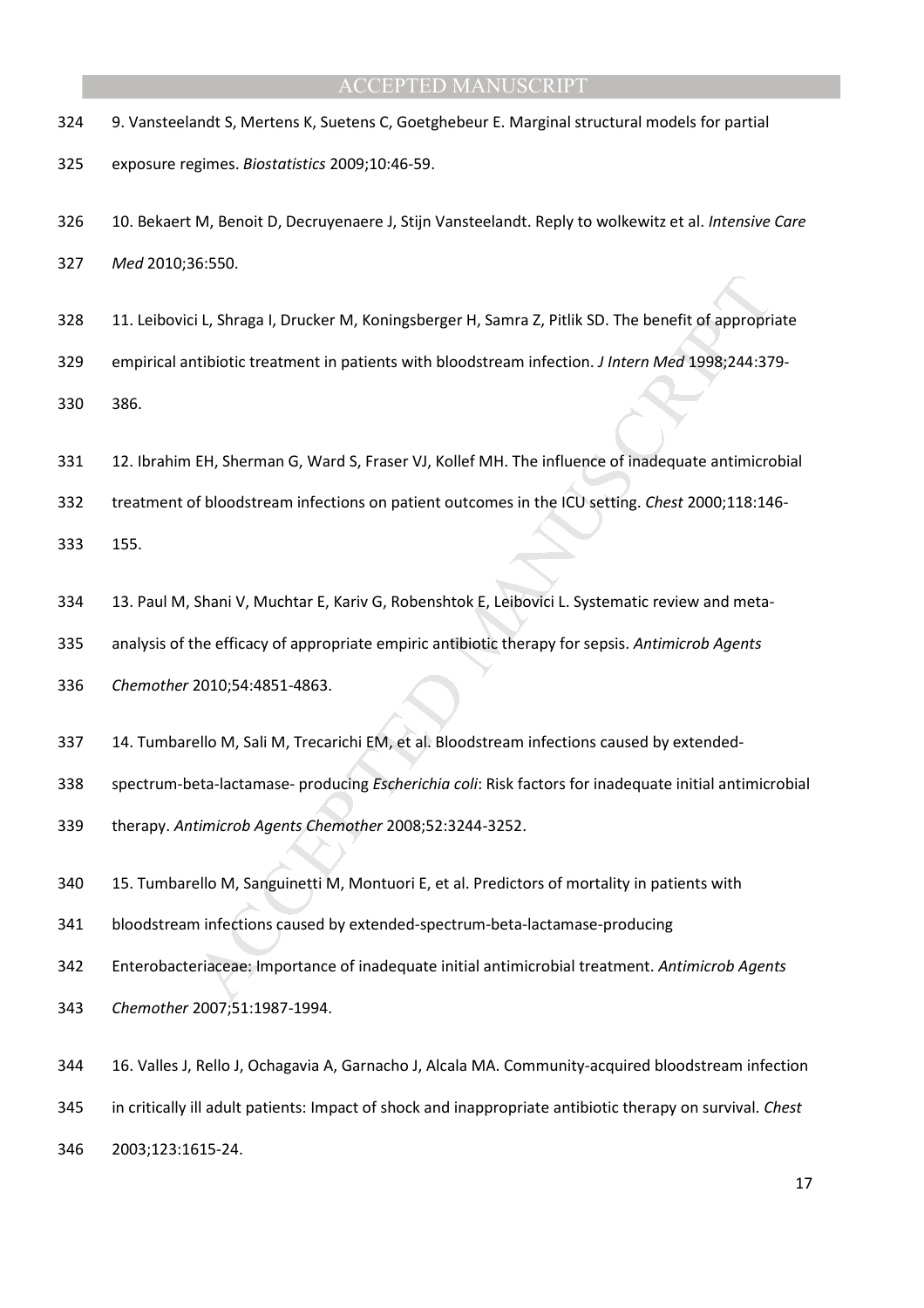- 324 9. Vansteelandt S, Mertens K, Suetens C, Goetghebeur E. Marginal structural models for partial
- 325 exposure regimes. *Biostatistics* 2009;10:46-59.
- 326 10. Bekaert M, Benoit D, Decruyenaere J, Stijn Vansteelandt. Reply to wolkewitz et al. *Intensive Care*

327 *Med* 2010;36:550.

328 11. Leibovici L, Shraga I, Drucker M, Koningsberger H, Samra Z, Pitlik SD. The benefit of appropriate

329 empirical antibiotic treatment in patients with bloodstream infection. *J Intern Med* 1998;244:379-

330 386.

- 331 12. Ibrahim EH, Sherman G, Ward S, Fraser VJ, Kollef MH. The influence of inadequate antimicrobial
- 332 treatment of bloodstream infections on patient outcomes in the ICU setting. *Chest* 2000;118:146-

333 155.

- 334 13. Paul M, Shani V, Muchtar E, Kariv G, Robenshtok E, Leibovici L. Systematic review and meta-
- 335 analysis of the efficacy of appropriate empiric antibiotic therapy for sepsis. *Antimicrob Agents*

336 *Chemother* 2010;54:4851-4863.

- 337 14. Tumbarello M, Sali M, Trecarichi EM, et al. Bloodstream infections caused by extended-
- 338 spectrum-beta-lactamase- producing *Escherichia coli*: Risk factors for inadequate initial antimicrobial
- 339 therapy. *Antimicrob Agents Chemother* 2008;52:3244-3252.
- 340 15. Tumbarello M, Sanguinetti M, Montuori E, et al. Predictors of mortality in patients with
- 341 bloodstream infections caused by extended-spectrum-beta-lactamase-producing
- is L, Shraga I, Drucker M, Koningsberger H, Samra Z, Pitlik SD. The benefit of appropriatibiotic treatment in patients with bloodstream infection. *J Intern Med* 1998;244:37<br>
EH, Sherman G, Ward S, Fraser VJ, Kollef MH. Th 342 Enterobacteriaceae: Importance of inadequate initial antimicrobial treatment. *Antimicrob Agents*
- 343 *Chemother* 2007;51:1987-1994.
- 344 16. Valles J, Rello J, Ochagavia A, Garnacho J, Alcala MA. Community-acquired bloodstream infection
- 345 in critically ill adult patients: Impact of shock and inappropriate antibiotic therapy on survival. *Chest*
- 346 2003;123:1615-24.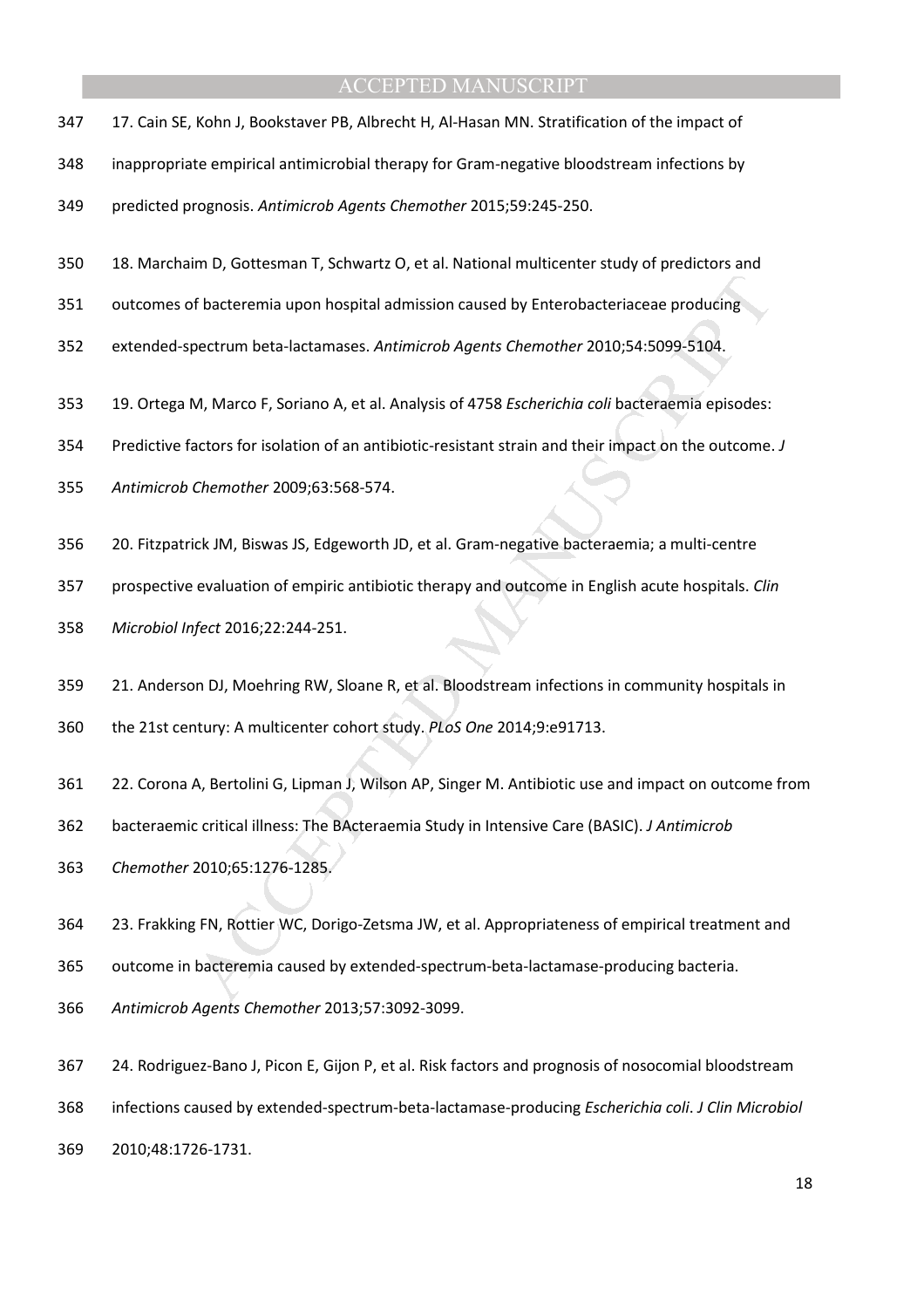- 347 17. Cain SE, Kohn J, Bookstaver PB, Albrecht H, Al-Hasan MN. Stratification of the impact of
- 348 inappropriate empirical antimicrobial therapy for Gram-negative bloodstream infections by
- 349 predicted prognosis. *Antimicrob Agents Chemother* 2015;59:245-250.
- 350 18. Marchaim D, Gottesman T, Schwartz O, et al. National multicenter study of predictors and
- 351 outcomes of bacteremia upon hospital admission caused by Enterobacteriaceae producing
- 352 extended-spectrum beta-lactamases. *Antimicrob Agents Chemother* 2010;54:5099-5104.
- 353 19. Ortega M, Marco F, Soriano A, et al. Analysis of 4758 *Escherichia coli* bacteraemia episodes:
- 354 Predictive factors for isolation of an antibiotic-resistant strain and their impact on the outcome. *J*
- 355 *Antimicrob Chemother* 2009;63:568-574.
- 356 20. Fitzpatrick JM, Biswas JS, Edgeworth JD, et al. Gram-negative bacteraemia; a multi-centre
- 357 prospective evaluation of empiric antibiotic therapy and outcome in English acute hospitals. *Clin*
- 358 *Microbiol Infect* 2016;22:244-251.
- 359 21. Anderson DJ, Moehring RW, Sloane R, et al. Bloodstream infections in community hospitals in
- 360 the 21st century: A multicenter cohort study. *PLoS One* 2014;9:e91713.
- If bacteremia upon hospital admission caused by Enterobacteriaceae producing<br>pectrum beta-lactamases. Ant*imicrob Agents Chemother* 2010;54:5099-5104.<br>M, Marco F, Soriano A, et al. Analysis of 4758 *Escherichia coli* bacte 361 22. Corona A, Bertolini G, Lipman J, Wilson AP, Singer M. Antibiotic use and impact on outcome from
- 362 bacteraemic critical illness: The BActeraemia Study in Intensive Care (BASIC). *J Antimicrob*
- 363 *Chemother* 2010;65:1276-1285.
- 364 23. Frakking FN, Rottier WC, Dorigo-Zetsma JW, et al. Appropriateness of empirical treatment and
- 365 outcome in bacteremia caused by extended-spectrum-beta-lactamase-producing bacteria.
- 366 *Antimicrob Agents Chemother* 2013;57:3092-3099.
- 367 24. Rodriguez-Bano J, Picon E, Gijon P, et al. Risk factors and prognosis of nosocomial bloodstream
- 368 infections caused by extended-spectrum-beta-lactamase-producing *Escherichia coli*. *J Clin Microbiol*
- 369 2010;48:1726-1731.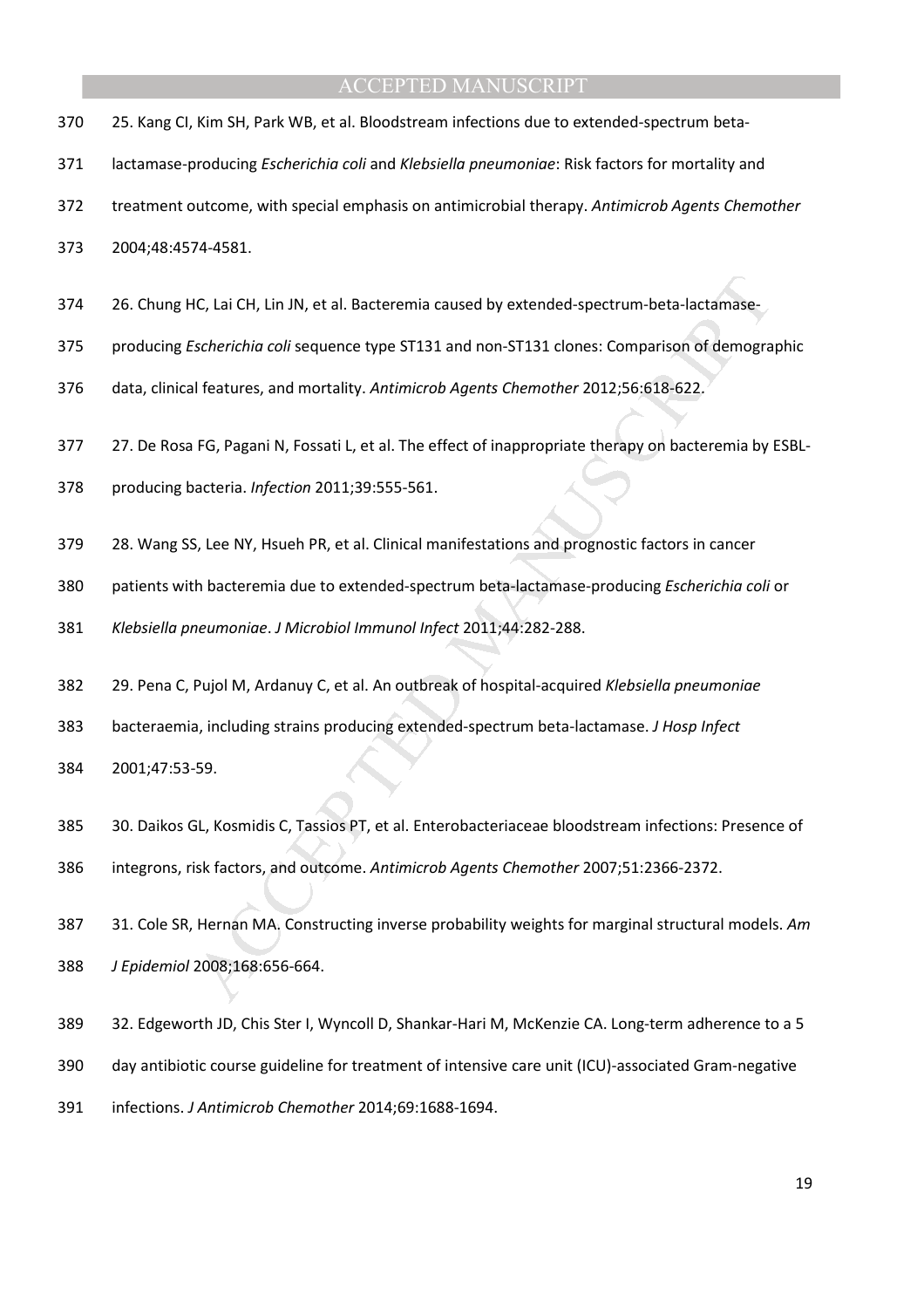- 370 25. Kang CI, Kim SH, Park WB, et al. Bloodstream infections due to extended-spectrum beta-
- 371 lactamase-producing *Escherichia coli* and *Klebsiella pneumoniae*: Risk factors for mortality and
- 372 treatment outcome, with special emphasis on antimicrobial therapy. *Antimicrob Agents Chemother*
- 373 2004;48:4574-4581.
- 374 26. Chung HC, Lai CH, Lin JN, et al. Bacteremia caused by extended-spectrum-beta-lactamase-
- 375 producing *Escherichia coli* sequence type ST131 and non-ST131 clones: Comparison of demographic
- 376 data, clinical features, and mortality. *Antimicrob Agents Chemother* 2012;56:618-622.
- 377 27. De Rosa FG, Pagani N, Fossati L, et al. The effect of inappropriate therapy on bacteremia by ESBL-
- 378 producing bacteria. *Infection* 2011;39:555-561.
- 379 28. Wang SS, Lee NY, Hsueh PR, et al. Clinical manifestations and prognostic factors in cancer
- 380 patients with bacteremia due to extended-spectrum beta-lactamase-producing *Escherichia coli* or
- 381 *Klebsiella pneumoniae*. *J Microbiol Immunol Infect* 2011;44:282-288.
- 382 29. Pena C, Pujol M, Ardanuy C, et al. An outbreak of hospital-acquired *Klebsiella pneumoniae*
- 383 bacteraemia, including strains producing extended-spectrum beta-lactamase. *J Hosp Infect*
- 384 2001;47:53-59.
- 385 30. Daikos GL, Kosmidis C, Tassios PT, et al. Enterobacteriaceae bloodstream infections: Presence of 386 integrons, risk factors, and outcome. *Antimicrob Agents Chemother* 2007;51:2366-2372.
- HC, Lai CH, Lin JN, et al. Bacteremia caused by extended-spectrum-beta-lactamase-<br>
Scherichio coli sequence type ST131 and non-ST131 clones: Comparison of demogra<br>
Il features, and mortality. Antimicrob Agents Chemother 20 387 31. Cole SR, Hernan MA. Constructing inverse probability weights for marginal structural models. *Am* 388 *J Epidemiol* 2008;168:656-664.
- 389 32. Edgeworth JD, Chis Ster I, Wyncoll D, Shankar-Hari M, McKenzie CA. Long-term adherence to a 5
- 390 day antibiotic course guideline for treatment of intensive care unit (ICU)-associated Gram-negative
- 391 infections. *J Antimicrob Chemother* 2014;69:1688-1694.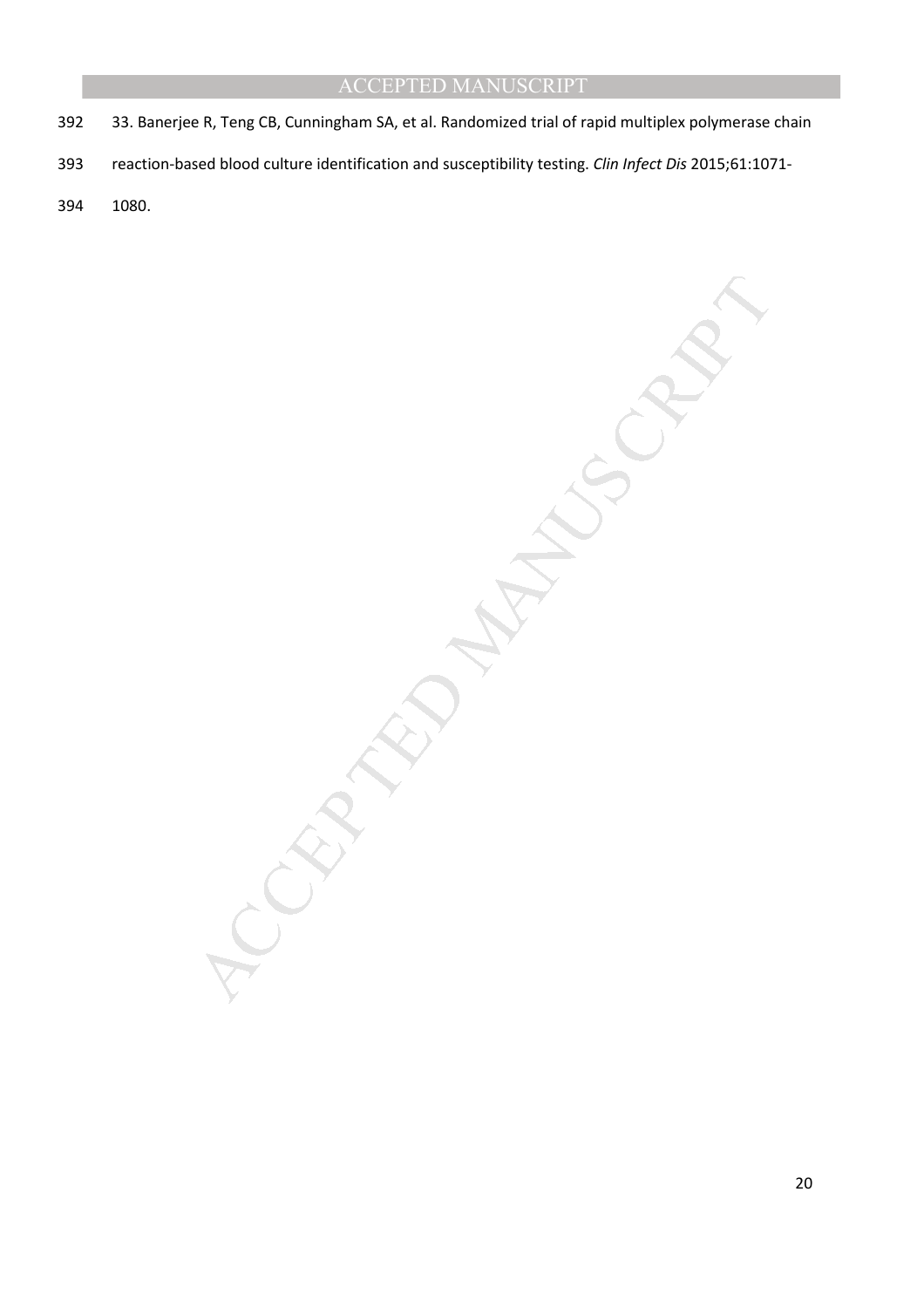- 392 33. Banerjee R, Teng CB, Cunningham SA, et al. Randomized trial of rapid multiplex polymerase chain
- 393 reaction-based blood culture identification and susceptibility testing. *Clin Infect Dis* 2015;61:1071-
- 394 1080.

MANUSCRIPT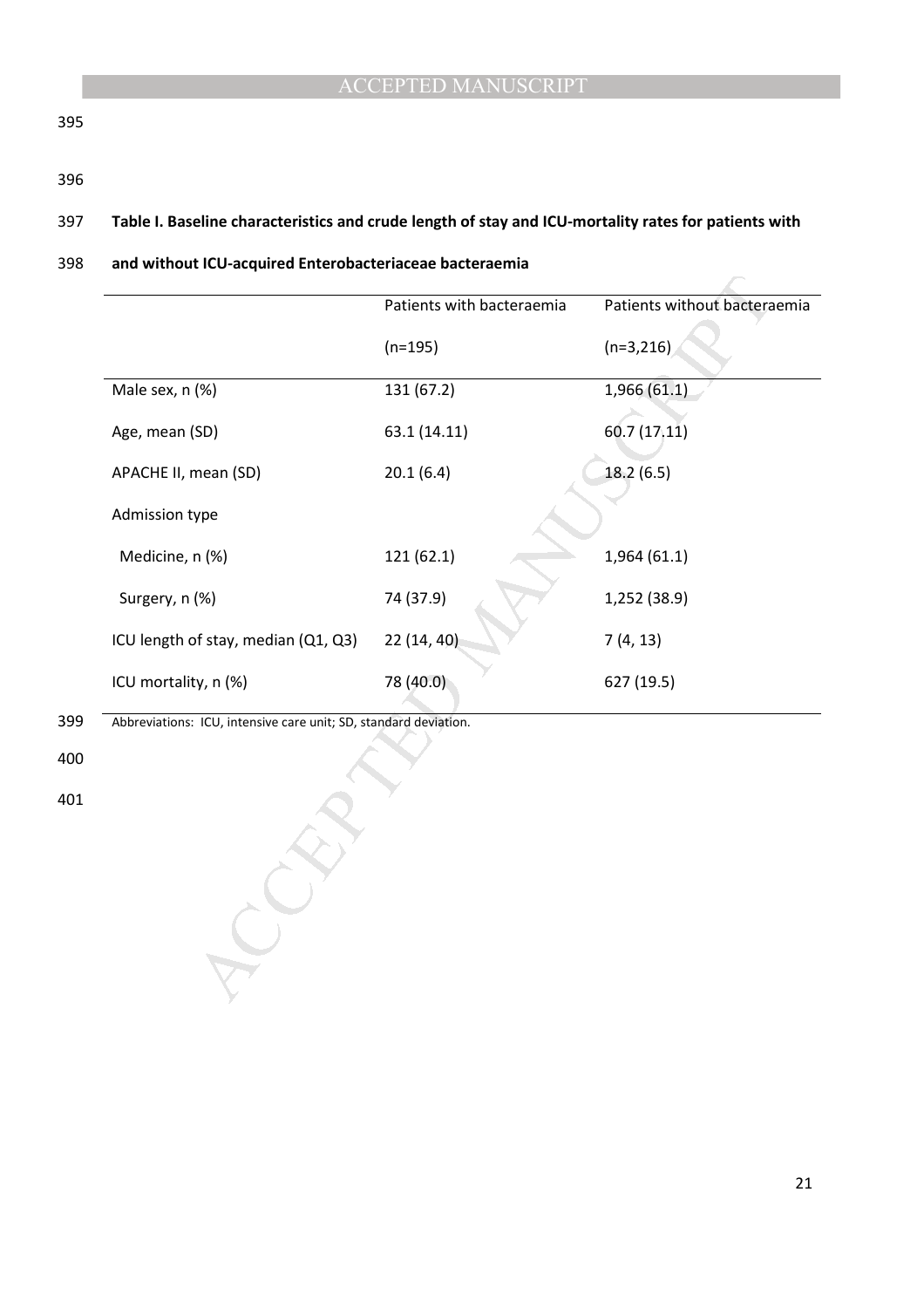395

396

## 397 **Table I. Baseline characteristics and crude length of stay and ICU-mortality rates for patients with**

#### 398 **and without ICU-acquired Enterobacteriaceae bacteraemia**

| Patients with bacteraemia | Patients without bacteraemia                                     |
|---------------------------|------------------------------------------------------------------|
| $(n=195)$                 | $(n=3,216)$                                                      |
| 131 (67.2)                | 1,966(61.1)                                                      |
| 63.1 (14.11)              | 60.7(17.11)                                                      |
| 20.1(6.4)                 | 18.2 (6.5)                                                       |
|                           |                                                                  |
| 121 (62.1)                | 1,964(61.1)                                                      |
| 74 (37.9)                 | 1,252 (38.9)                                                     |
| 22 (14, 40)               | 7(4, 13)                                                         |
| 78 (40.0)                 | 627 (19.5)                                                       |
|                           |                                                                  |
|                           | Abbreviations: ICU, intensive care unit; SD, standard deviation. |

- 399 Abbreviations: ICU, intensive care unit; SD, standard deviation.
- 400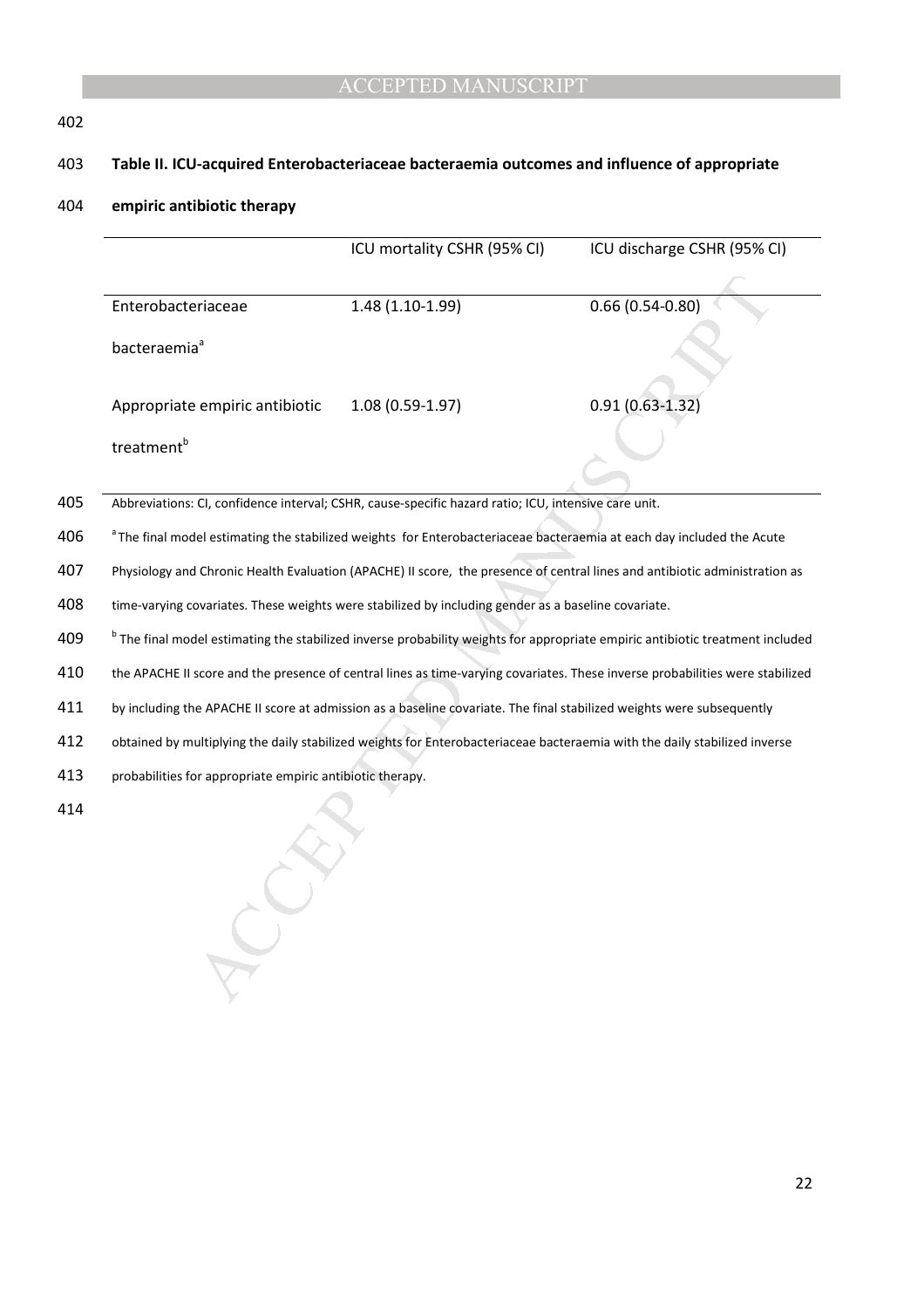## 402

## 403 **Table II. ICU-acquired Enterobacteriaceae bacteraemia outcomes and influence of appropriate**

#### 404 **empiric antibiotic therapy**

|     |                                                                                                                                          | ICU mortality CSHR (95% CI)                                                                                           | ICU discharge CSHR (95% CI)                                                                                                   |
|-----|------------------------------------------------------------------------------------------------------------------------------------------|-----------------------------------------------------------------------------------------------------------------------|-------------------------------------------------------------------------------------------------------------------------------|
|     | Enterobacteriaceae                                                                                                                       | 1.48 (1.10-1.99)                                                                                                      | $0.66(0.54-0.80)$                                                                                                             |
|     | bacteraemia <sup>ª</sup>                                                                                                                 |                                                                                                                       |                                                                                                                               |
|     | Appropriate empiric antibiotic                                                                                                           | $1.08(0.59-1.97)$                                                                                                     | $0.91(0.63 - 1.32)$                                                                                                           |
|     | treatment <sup>b</sup>                                                                                                                   |                                                                                                                       |                                                                                                                               |
| 405 |                                                                                                                                          | Abbreviations: CI, confidence interval; CSHR, cause-specific hazard ratio; ICU, intensive care unit.                  |                                                                                                                               |
| 406 | <sup>a</sup> The final model estimating the stabilized weights for Enterobacteriaceae bacteraemia at each day included the Acute         |                                                                                                                       |                                                                                                                               |
| 407 | Physiology and Chronic Health Evaluation (APACHE) II score, the presence of central lines and antibiotic administration as               |                                                                                                                       |                                                                                                                               |
| 408 | time-varying covariates. These weights were stabilized by including gender as a baseline covariate.                                      |                                                                                                                       |                                                                                                                               |
| 409 | <sup>b</sup> The final model estimating the stabilized inverse probability weights for appropriate empiric antibiotic treatment included |                                                                                                                       |                                                                                                                               |
| 410 |                                                                                                                                          |                                                                                                                       | the APACHE II score and the presence of central lines as time-varying covariates. These inverse probabilities were stabilized |
| 411 |                                                                                                                                          | by including the APACHE II score at admission as a baseline covariate. The final stabilized weights were subsequently |                                                                                                                               |
| 412 | obtained by multiplying the daily stabilized weights for Enterobacteriaceae bacteraemia with the daily stabilized inverse                |                                                                                                                       |                                                                                                                               |
| 413 | probabilities for appropriate empiric antibiotic therapy.                                                                                |                                                                                                                       |                                                                                                                               |
| 414 |                                                                                                                                          |                                                                                                                       |                                                                                                                               |

- 413 probabilities for appropriate empiric antibiotic therapy.
- 414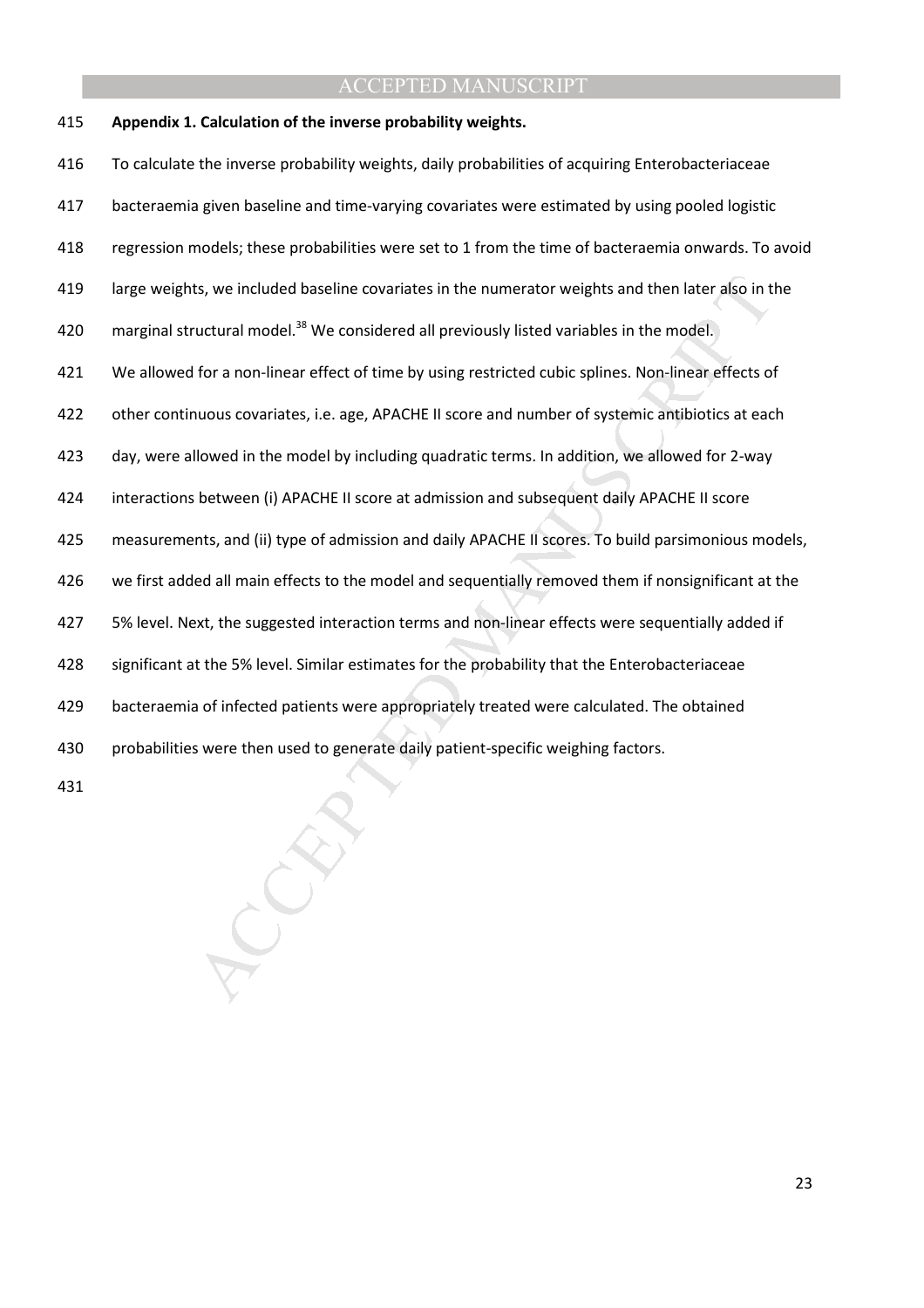415 **Appendix 1. Calculation of the inverse probability weights.**

ts, we included baseline covariates in the numerator weights and then later also in t<br>ructural model.<sup>38</sup> We considered all previously listed variables in the model.<br>If or a non-linear effect of time by using restricted cu 416 To calculate the inverse probability weights, daily probabilities of acquiring Enterobacteriaceae 417 bacteraemia given baseline and time-varying covariates were estimated by using pooled logistic 418 regression models; these probabilities were set to 1 from the time of bacteraemia onwards. To avoid 419 large weights, we included baseline covariates in the numerator weights and then later also in the 420 marginal structural model.<sup>38</sup> We considered all previously listed variables in the model. 421 We allowed for a non-linear effect of time by using restricted cubic splines. Non-linear effects of 422 other continuous covariates, i.e. age, APACHE II score and number of systemic antibiotics at each 423 day, were allowed in the model by including quadratic terms. In addition, we allowed for 2-way 424 interactions between (i) APACHE II score at admission and subsequent daily APACHE II score 425 measurements, and (ii) type of admission and daily APACHE II scores. To build parsimonious models, 426 we first added all main effects to the model and sequentially removed them if nonsignificant at the 427 5% level. Next, the suggested interaction terms and non-linear effects were sequentially added if 428 significant at the 5% level. Similar estimates for the probability that the Enterobacteriaceae 429 bacteraemia of infected patients were appropriately treated were calculated. The obtained 430 probabilities were then used to generate daily patient-specific weighing factors.